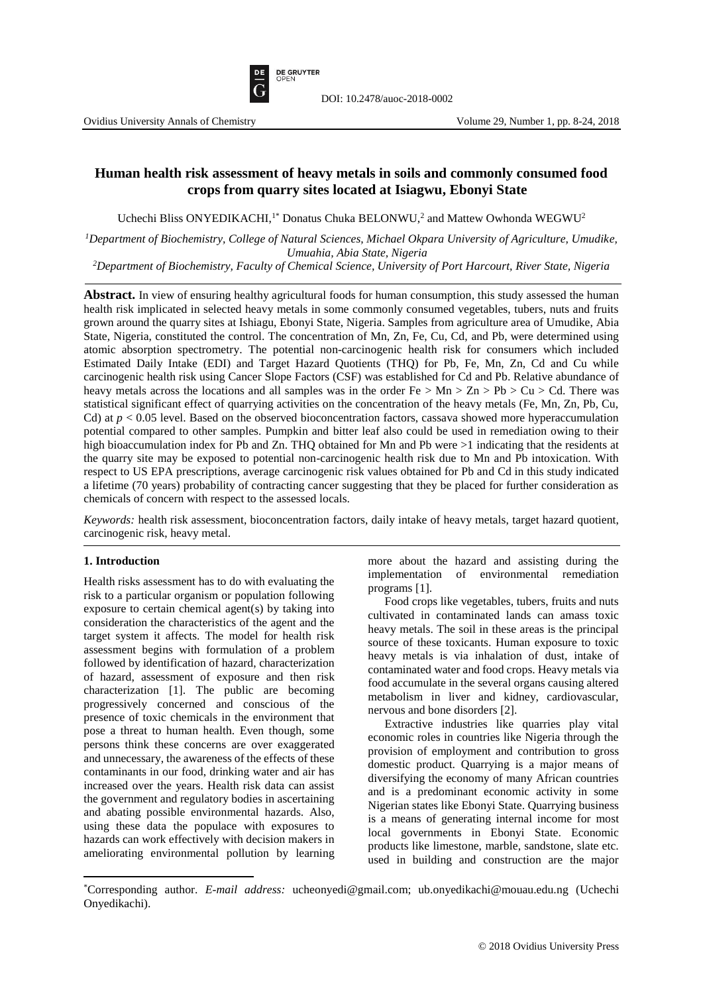

# **Human health risk assessment of heavy metals in soils and commonly consumed food crops from quarry sites located at Isiagwu, Ebonyi State**

Uchechi Bliss ONYEDIKACHI,<sup>1\*</sup> Donatus Chuka BELONWU,<sup>2</sup> and Mattew Owhonda WEGWU<sup>2</sup>

*<sup>1</sup>Department of Biochemistry, College of Natural Sciences, Michael Okpara University of Agriculture, Umudike, Umuahia, Abia State, Nigeria*

*<sup>2</sup>Department of Biochemistry, Faculty of Chemical Science, University of Port Harcourt, River State, Nigeria*

**Abstract.** In view of ensuring healthy agricultural foods for human consumption, this study assessed the human health risk implicated in selected heavy metals in some commonly consumed vegetables, tubers, nuts and fruits grown around the quarry sites at Ishiagu, Ebonyi State, Nigeria. Samples from agriculture area of Umudike, Abia State, Nigeria, constituted the control. The concentration of Mn, Zn, Fe, Cu, Cd, and Pb, were determined using atomic absorption spectrometry. The potential non-carcinogenic health risk for consumers which included Estimated Daily Intake (EDI) and Target Hazard Quotients (THQ) for Pb, Fe, Mn, Zn, Cd and Cu while carcinogenic health risk using Cancer Slope Factors (CSF) was established for Cd and Pb. Relative abundance of heavy metals across the locations and all samples was in the order Fe  $> Mn > Zn > Pb > Cu > Cd$ . There was statistical significant effect of quarrying activities on the concentration of the heavy metals (Fe, Mn, Zn, Pb, Cu, Cd) at  $p < 0.05$  level. Based on the observed bioconcentration factors, cassava showed more hyperaccumulation potential compared to other samples. Pumpkin and bitter leaf also could be used in remediation owing to their high bioaccumulation index for Pb and Zn. THQ obtained for Mn and Pb were  $>1$  indicating that the residents at the quarry site may be exposed to potential non-carcinogenic health risk due to Mn and Pb intoxication. With respect to US EPA prescriptions, average carcinogenic risk values obtained for Pb and Cd in this study indicated a lifetime (70 years) probability of contracting cancer suggesting that they be placed for further consideration as chemicals of concern with respect to the assessed locals.

*Keywords:* health risk assessment, bioconcentration factors, daily intake of heavy metals, target hazard quotient, carcinogenic risk, heavy metal.

## **1. Introduction**

 $\overline{\phantom{a}}$ 

Health risks assessment has to do with evaluating the risk to a particular organism or population following exposure to certain chemical agent(s) by taking into consideration the characteristics of the agent and the target system it affects. The model for health risk assessment begins with formulation of a problem followed by identification of hazard, characterization of hazard, assessment of exposure and then risk characterization [1]. The public are becoming progressively concerned and conscious of the presence of toxic chemicals in the environment that pose a threat to human health. Even though, some persons think these concerns are over exaggerated and unnecessary, the awareness of the effects of these contaminants in our food, drinking water and air has increased over the years. Health risk data can assist the government and regulatory bodies in ascertaining and abating possible environmental hazards. Also, using these data the populace with exposures to hazards can work effectively with decision makers in ameliorating environmental pollution by learning more about the hazard and assisting during the implementation of environmental remediation programs [1].

Food crops like vegetables, tubers, fruits and nuts cultivated in contaminated lands can amass toxic heavy metals. The soil in these areas is the principal source of these toxicants. Human exposure to toxic heavy metals is via inhalation of dust, intake of contaminated water and food crops. Heavy metals via food accumulate in the several organs causing altered metabolism in liver and kidney, cardiovascular, nervous and bone disorders [2].

Extractive industries like quarries play vital economic roles in countries like Nigeria through the provision of employment and contribution to gross domestic product. Quarrying is a major means of diversifying the economy of many African countries and is a predominant economic activity in some Nigerian states like Ebonyi State. Quarrying business is a means of generating internal income for most local governments in Ebonyi State. Economic products like limestone, marble, sandstone, slate etc. used in building and construction are the major

<sup>\*</sup>Corresponding author. *E-mail address:* ucheonyedi@gmail.com; ub.onyedikachi@mouau.edu.ng (Uchechi Onyedikachi).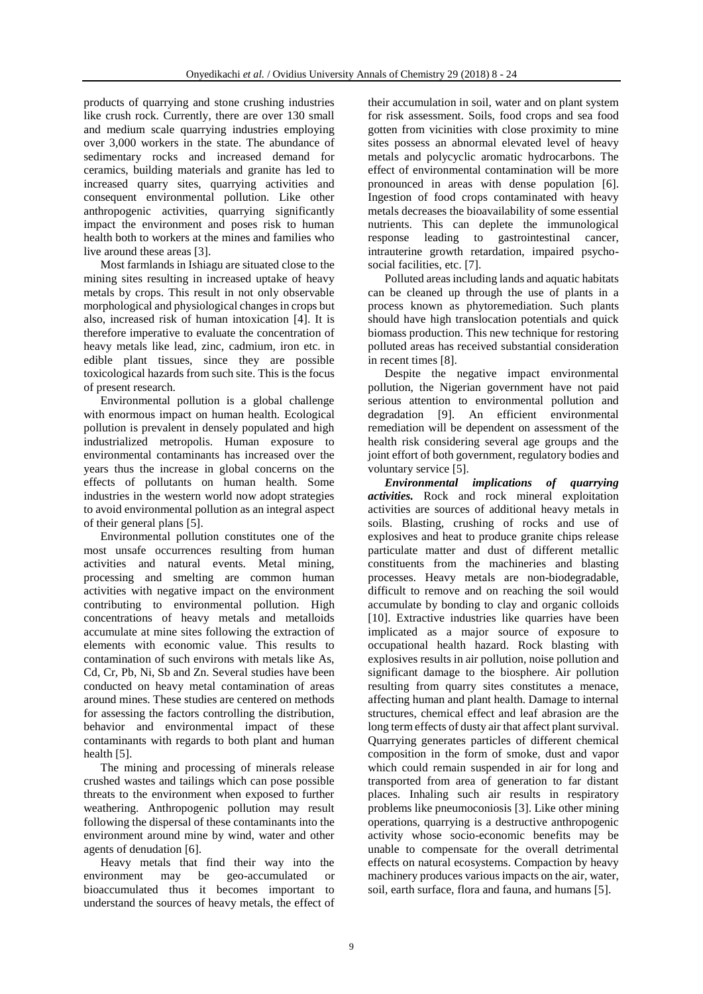products of quarrying and stone crushing industries like crush rock. Currently, there are over 130 small and medium scale quarrying industries employing over 3,000 workers in the state. The abundance of sedimentary rocks and increased demand for ceramics, building materials and granite has led to increased quarry sites, quarrying activities and consequent environmental pollution. Like other anthropogenic activities, quarrying significantly impact the environment and poses risk to human health both to workers at the mines and families who live around these areas [3].

Most farmlands in Ishiagu are situated close to the mining sites resulting in increased uptake of heavy metals by crops. This result in not only observable morphological and physiological changes in crops but also, increased risk of human intoxication [4]. It is therefore imperative to evaluate the concentration of heavy metals like lead, zinc, cadmium, iron etc. in edible plant tissues, since they are possible toxicological hazards from such site. This is the focus of present research.

Environmental pollution is a global challenge with enormous impact on human health. Ecological pollution is prevalent in densely populated and high industrialized metropolis. Human exposure to environmental contaminants has increased over the years thus the increase in global concerns on the effects of pollutants on human health. Some industries in the western world now adopt strategies to avoid environmental pollution as an integral aspect of their general plans [5].

Environmental pollution constitutes one of the most unsafe occurrences resulting from human activities and natural events. Metal mining, processing and smelting are common human activities with negative impact on the environment contributing to environmental pollution. High concentrations of heavy metals and metalloids accumulate at mine sites following the extraction of elements with economic value. This results to contamination of such environs with metals like As, Cd, Cr, Pb, Ni, Sb and Zn. Several studies have been conducted on heavy metal contamination of areas around mines. These studies are centered on methods for assessing the factors controlling the distribution, behavior and environmental impact of these contaminants with regards to both plant and human health [5].

The mining and processing of minerals release crushed wastes and tailings which can pose possible threats to the environment when exposed to further weathering. Anthropogenic pollution may result following the dispersal of these contaminants into the environment around mine by wind, water and other agents of denudation [6].

Heavy metals that find their way into the environment may be geo-accumulated or bioaccumulated thus it becomes important to understand the sources of heavy metals, the effect of their accumulation in soil, water and on plant system for risk assessment. Soils, food crops and sea food gotten from vicinities with close proximity to mine sites possess an abnormal elevated level of heavy metals and polycyclic aromatic hydrocarbons. The effect of environmental contamination will be more pronounced in areas with dense population [6]. Ingestion of food crops contaminated with heavy metals decreases the bioavailability of some essential nutrients. This can deplete the immunological response leading to gastrointestinal cancer, intrauterine growth retardation, impaired psychosocial facilities, etc. [7].

Polluted areas including lands and aquatic habitats can be cleaned up through the use of plants in a process known as phytoremediation. Such plants should have high translocation potentials and quick biomass production. This new technique for restoring polluted areas has received substantial consideration in recent times [8].

Despite the negative impact environmental pollution, the Nigerian government have not paid serious attention to environmental pollution and degradation [9]. An efficient environmental remediation will be dependent on assessment of the health risk considering several age groups and the joint effort of both government, regulatory bodies and voluntary service [5].

*Environmental implications of quarrying activities.* Rock and rock mineral exploitation activities are sources of additional heavy metals in soils. Blasting, crushing of rocks and use of explosives and heat to produce granite chips release particulate matter and dust of different metallic constituents from the machineries and blasting processes. Heavy metals are non-biodegradable, difficult to remove and on reaching the soil would accumulate by bonding to clay and organic colloids [10]. Extractive industries like quarries have been implicated as a major source of exposure to occupational health hazard. Rock blasting with explosives results in air pollution, noise pollution and significant damage to the biosphere. Air pollution resulting from quarry sites constitutes a menace, affecting human and plant health. Damage to internal structures, chemical effect and leaf abrasion are the long term effects of dusty air that affect plant survival. Quarrying generates particles of different chemical composition in the form of smoke, dust and vapor which could remain suspended in air for long and transported from area of generation to far distant places. Inhaling such air results in respiratory problems like pneumoconiosis [3]. Like other mining operations, quarrying is a destructive anthropogenic activity whose socio-economic benefits may be unable to compensate for the overall detrimental effects on natural ecosystems. Compaction by heavy machinery produces various impacts on the air, water, soil, earth surface, flora and fauna, and humans [5].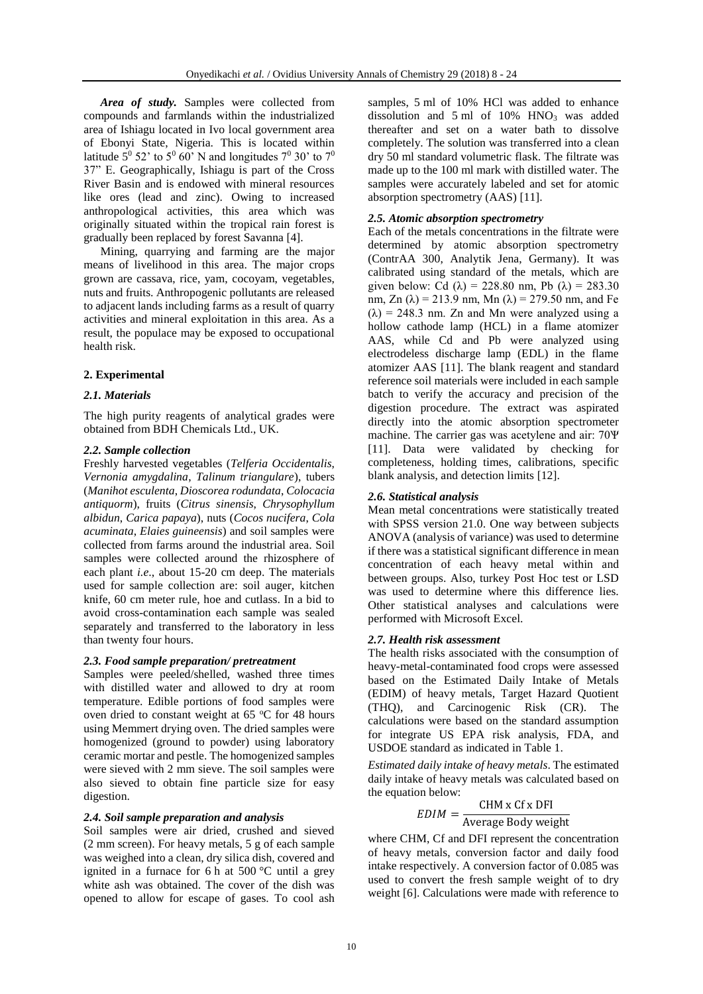*Area of study.* Samples were collected from compounds and farmlands within the industrialized area of Ishiagu located in Ivo local government area of Ebonyi State, Nigeria. This is located within latitude 5<sup>0</sup> 52' to 5<sup>0</sup> 60' N and longitudes 7<sup>0</sup> 30' to 7<sup>0</sup> 37" E. Geographically, Ishiagu is part of the Cross River Basin and is endowed with mineral resources like ores (lead and zinc). Owing to increased anthropological activities, this area which was originally situated within the tropical rain forest is gradually been replaced by forest Savanna [4].

Mining, quarrying and farming are the major means of livelihood in this area. The major crops grown are cassava, rice, yam, cocoyam, vegetables, nuts and fruits. Anthropogenic pollutants are released to adjacent lands including farms as a result of quarry activities and mineral exploitation in this area. As a result, the populace may be exposed to occupational health risk.

### **2. Experimental**

#### *2.1. Materials*

The high purity reagents of analytical grades were obtained from BDH Chemicals Ltd., UK.

#### *2.2. Sample collection*

Freshly harvested vegetables (*Telferia Occidentalis*, *Vernonia amygdalina*, *Talinum triangulare*), tubers (*Manihot esculenta*, *Dioscorea rodundata*, *Colocacia antiquorm*), fruits (*Citrus sinensis*, *Chrysophyllum albidun*, *Carica papaya*), nuts (*Cocos nucifera*, *Cola acuminata*, *Elaies guineensis*) and soil samples were collected from farms around the industrial area. Soil samples were collected around the rhizosphere of each plant *i.e*., about 15-20 cm deep. The materials used for sample collection are: soil auger, kitchen knife, 60 cm meter rule, hoe and cutlass. In a bid to avoid cross-contamination each sample was sealed separately and transferred to the laboratory in less than twenty four hours.

#### *2.3. Food sample preparation/ pretreatment*

Samples were peeled/shelled, washed three times with distilled water and allowed to dry at room temperature. Edible portions of food samples were oven dried to constant weight at 65  $\degree$ C for 48 hours using Memmert drying oven. The dried samples were homogenized (ground to powder) using laboratory ceramic mortar and pestle. The homogenized samples were sieved with 2 mm sieve. The soil samples were also sieved to obtain fine particle size for easy digestion.

#### *2.4. Soil sample preparation and analysis*

Soil samples were air dried, crushed and sieved (2 mm screen). For heavy metals, 5 g of each sample was weighed into a clean, dry silica dish, covered and ignited in a furnace for 6 h at  $500^{\circ}$ C until a grey white ash was obtained. The cover of the dish was opened to allow for escape of gases. To cool ash samples, 5 ml of 10% HCl was added to enhance dissolution and  $5 \text{ ml}$  of  $10\%$  HNO<sub>3</sub> was added thereafter and set on a water bath to dissolve completely. The solution was transferred into a clean dry 50 ml standard volumetric flask. The filtrate was made up to the 100 ml mark with distilled water. The samples were accurately labeled and set for atomic absorption spectrometry (AAS) [11].

### *2.5. Atomic absorption spectrometry*

Each of the metals concentrations in the filtrate were determined by atomic absorption spectrometry (ContrAA 300, Analytik Jena, Germany). It was calibrated using standard of the metals, which are given below: Cd  $(\lambda) = 228.80$  nm, Pb  $(\lambda) = 283.30$ nm, Zn  $(\lambda) = 213.9$  nm, Mn  $(\lambda) = 279.50$  nm, and Fe  $(\lambda) = 248.3$  nm. Zn and Mn were analyzed using a hollow cathode lamp (HCL) in a flame atomizer AAS, while Cd and Pb were analyzed using electrodeless discharge lamp (EDL) in the flame atomizer AAS [11]. The blank reagent and standard reference soil materials were included in each sample batch to verify the accuracy and precision of the digestion procedure. The extract was aspirated directly into the atomic absorption spectrometer machine. The carrier gas was acetylene and air: 70Ѱ [11]. Data were validated by checking for completeness, holding times, calibrations, specific blank analysis, and detection limits [12].

#### *2.6. Statistical analysis*

Mean metal concentrations were statistically treated with SPSS version 21.0. One way between subjects ANOVA (analysis of variance) was used to determine if there was a statistical significant difference in mean concentration of each heavy metal within and between groups. Also, turkey Post Hoc test or LSD was used to determine where this difference lies. Other statistical analyses and calculations were performed with Microsoft Excel.

#### *2.7. Health risk assessment*

The health risks associated with the consumption of heavy-metal-contaminated food crops were assessed based on the Estimated Daily Intake of Metals (EDIM) of heavy metals, Target Hazard Quotient (THQ), and Carcinogenic Risk (CR). The calculations were based on the standard assumption for integrate US EPA risk analysis, FDA, and USDOE standard as indicated in Table 1.

*Estimated daily intake of heavy metals*. The estimated daily intake of heavy metals was calculated based on the equation below:

$$
EDIM = \frac{CHM \times Cf \times DFI}{Average Body weight}
$$

where CHM, Cf and DFI represent the concentration of heavy metals, conversion factor and daily food intake respectively. A conversion factor of 0.085 was used to convert the fresh sample weight of to dry weight [6]. Calculations were made with reference to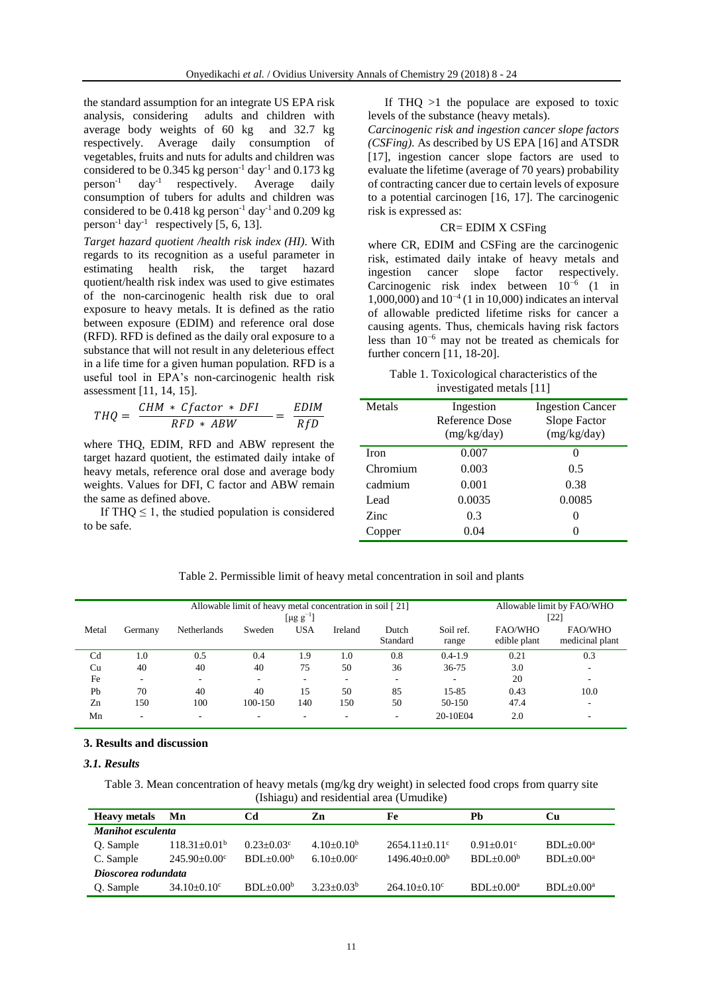the standard assumption for an integrate US EPA risk analysis, considering adults and children with average body weights of 60 kg and 32.7 kg respectively. Average daily consumption of vegetables, fruits and nuts for adults and children was considered to be  $0.345$  kg person<sup>-1</sup> day<sup>-1</sup> and  $0.173$  kg person-1 day-1 respectively. Average daily consumption of tubers for adults and children was considered to be 0.418 kg person<sup>-1</sup> day<sup>-1</sup> and 0.209 kg person<sup>-1</sup> day<sup>-1</sup> respectively [5, 6, 13].

*Target hazard quotient /health risk index (HI)*. With regards to its recognition as a useful parameter in risk, the target hazard quotient/health risk index was used to give estimates of the non-carcinogenic health risk due to oral exposure to heavy metals. It is defined as the ratio between exposure (EDIM) and reference oral dose (RFD). RFD is defined as the daily oral exposure to a substance that will not result in any deleterious effect in a life time for a given human population. RFD is a useful tool in EPA's non-carcinogenic health risk assessment [11, 14, 15].

$$
THQ = \frac{CHM * Cfactor * DFI}{RFD * ABW} = \frac{EDIM}{RfD}
$$

where THQ, EDIM, RFD and ABW represent the target hazard quotient, the estimated daily intake of heavy metals, reference oral dose and average body weights. Values for DFI, C factor and ABW remain the same as defined above.

If THQ  $\leq$  1, the studied population is considered to be safe.

If THQ >1 the populace are exposed to toxic levels of the substance (heavy metals).

*Carcinogenic risk and ingestion cancer slope factors (CSFing).* As described by US EPA [16] and ATSDR [17], ingestion cancer slope factors are used to evaluate the lifetime (average of 70 years) probability of contracting cancer due to certain levels of exposure to a potential carcinogen [16, 17]. The carcinogenic risk is expressed as:

#### CR= EDIM X CSFing

where CR, EDIM and CSFing are the carcinogenic risk, estimated daily intake of heavy metals and<br>ingestion cancer slope factor respectively. ingestion cancer slope Carcinogenic risk index between 10−6 (1 in 1,000,000) and 10−4 (1 in 10,000) indicates an interval of allowable predicted lifetime risks for cancer a causing agents. Thus, chemicals having risk factors less than 10−6 may not be treated as chemicals for further concern [11, 18-20].

Table 1. Toxicological characteristics of the investigated metals [11]

| Metals   | Ingestion      | <b>Ingestion Cancer</b> |
|----------|----------------|-------------------------|
|          | Reference Dose | Slope Factor            |
|          | (mg/kg/day)    | (mg/kg/day)             |
| Iron     | 0.007          | $\theta$                |
| Chromium | 0.003          | 0.5                     |
| cadmium  | 0.001          | 0.38                    |
| Lead     | 0.0035         | 0.0085                  |
| Zinc     | 0.3            | $\theta$                |
| Copper   | 0.04           | 0                       |
|          |                |                         |

Table 2. Permissible limit of heavy metal concentration in soil and plants

|                |         |                    | Allowable limit by FAO/WHO |                       |         |          |                          |                |                          |
|----------------|---------|--------------------|----------------------------|-----------------------|---------|----------|--------------------------|----------------|--------------------------|
|                |         |                    |                            | [ $\mu$ g g $^{-1}$ ] |         |          |                          |                | [22]                     |
| Metal          | Germany | <b>Netherlands</b> | Sweden                     | <b>USA</b>            | Ireland | Dutch    | Soil ref.                | <b>FAO/WHO</b> | <b>FAO/WHO</b>           |
|                |         |                    |                            |                       |         | Standard | range                    | edible plant   | medicinal plant          |
| C <sub>d</sub> | 1.0     | 0.5                | 0.4                        | 1.9                   | 1.0     | 0.8      | $0.4 - 1.9$              | 0.21           | 0.3                      |
| Cu             | 40      | 40                 | 40                         | 75                    | 50      | 36       | $36 - 75$                | 3.0            | $\overline{\phantom{a}}$ |
| Fe             | ۰       |                    |                            |                       |         | ۰        | $\overline{\phantom{a}}$ | 20             | $\overline{\phantom{a}}$ |
| Pb             | 70      | 40                 | 40                         | 15                    | 50      | 85       | 15-85                    | 0.43           | 10.0                     |
| Zn             | 150     | 100                | 100-150                    | 140                   | 150     | 50       | 50-150                   | 47.4           | $\overline{\phantom{a}}$ |
| Mn             | ۰       |                    |                            |                       |         | ۰        | 20-10E04                 | 2.0            | ۰                        |

## **3. Results and discussion**

### *3.1. Results*

Table 3. Mean concentration of heavy metals (mg/kg dry weight) in selected food crops from quarry site (Ishiagu) and residential area (Umudike)

| <b>Heavy metals</b> | Mn                             | Cd                           | Zn                  | Fe                    | Pb                         | Cu               |  |  |  |
|---------------------|--------------------------------|------------------------------|---------------------|-----------------------|----------------------------|------------------|--|--|--|
| Manihot esculenta   |                                |                              |                     |                       |                            |                  |  |  |  |
| Q. Sample           | $118.31 + 0.01b$               | $0.23 \pm 0.03$ <sup>c</sup> | $4.10+0.10b$        | $2654.11+0.11^c$      | $0.91 + 0.01$ <sup>c</sup> | $BDL \pm 0.00^a$ |  |  |  |
| C. Sample           | $245.90 \pm 0.00$ <sup>c</sup> | $BDL + 0.00b$                | $6.10+0.00^{\circ}$ | $1496.40 + 0.00b$     | $BDL + 0.00b$              | $BDL + 0.00^a$   |  |  |  |
| Dioscorea rodundata |                                |                              |                     |                       |                            |                  |  |  |  |
| Q. Sample           | $34.10+0.10^{\circ}$           | $BDL + 0.00b$                | $3.23+0.03b$        | $264.10+0.10^{\circ}$ | $BDL + 0.00^a$             | $BDL{\pm}0.00^a$ |  |  |  |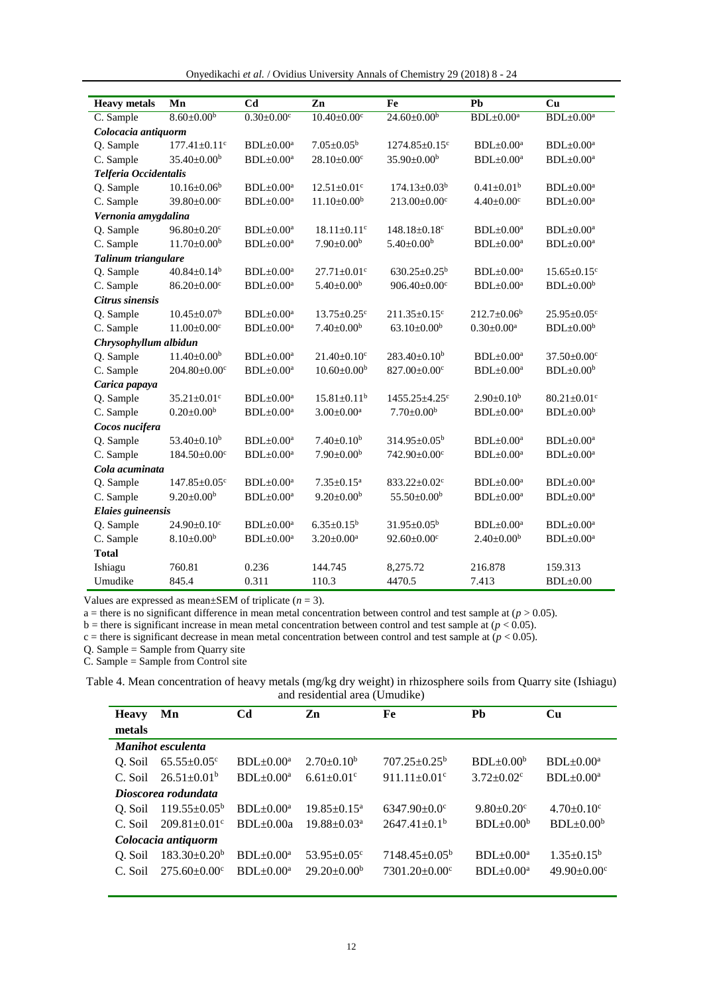Onyedikachi *et al.* / Ovidius University Annals of Chemistry 29 (2018) 8 - 24

| <b>Heavy</b> metals   | Mn                             | Cd                | Zn                            | Fe                              | Pb                           | Cu                            |
|-----------------------|--------------------------------|-------------------|-------------------------------|---------------------------------|------------------------------|-------------------------------|
| C. Sample             | $8.60 \pm 0.00$ <sup>b</sup>   | $0.30 \pm 0.00$ c | $10.40 \pm 0.00$ c            | $24.60 \pm 0.00$ <sup>b</sup>   | $BDL\pm0.00a$                | $BDL\pm0.00a$                 |
| Colocacia antiquorm   |                                |                   |                               |                                 |                              |                               |
| Q. Sample             | $177.41 \pm 0.11$ <sup>c</sup> | $BDL{\pm}0.00^a$  | $7.05 \pm 0.05^{\rm b}$       | $1274.85 \pm 0.15$ <sup>c</sup> | $BDL{\pm}0.00^a$             | $BDL{\pm}0.00^a$              |
| C. Sample             | $35.40 \pm 0.00^b$             | $BDL{\pm}0.00^a$  | $28.10 \pm 0.00$ <sup>c</sup> | $35.90 \pm 0.00^b$              | $BDL{\pm}0.00^a$             | $BDL{\pm}0.00^a$              |
| Telferia Occidentalis |                                |                   |                               |                                 |                              |                               |
| Q. Sample             | $10.16 \pm 0.06^b$             | $BDL{\pm}0.00^a$  | $12.51 \pm 0.01$ <sup>c</sup> | $174.13 \pm 0.03^b$             | $0.41 \pm 0.01^b$            | $BDL\pm0.00a$                 |
| C. Sample             | $39.80 \pm 0.00$ <sup>c</sup>  | $BDL{\pm}0.00^a$  | $11.10 \pm 0.00^b$            | $213.00 \pm 0.00$ <sup>c</sup>  | $4.40 \pm 0.00$ <sup>c</sup> | $BDL{\pm}0.00^a$              |
| Vernonia amygdalina   |                                |                   |                               |                                 |                              |                               |
| Q. Sample             | $96.80 \pm 0.20$ c             | $BDL{\pm}0.00^a$  | $18.11 \pm 0.11$ <sup>c</sup> | $148.18 \pm 0.18$ <sup>c</sup>  | $BDL{\pm}0.00^a$             | $BDL{\pm}0.00^a$              |
| C. Sample             | $11.70 \pm 0.00^b$             | $BDL{\pm}0.00^a$  | $7.90 \pm 0.00^b$             | $5.40 \pm 0.00^b$               | $BDL{\pm}0.00^a$             | $BDL{\pm}0.00^a$              |
| Talinum triangulare   |                                |                   |                               |                                 |                              |                               |
| Q. Sample             | $40.84 \pm 0.14^b$             | $BDL{\pm}0.00^a$  | $27.71 \pm 0.01$ <sup>c</sup> | $630.25 \pm 0.25^b$             | $BDL{\pm}0.00^a$             | $15.65 \pm 0.15$ <sup>c</sup> |
| C. Sample             | $86.20 \pm 0.00$ <sup>c</sup>  | $BDL{\pm}0.00^a$  | $5.40 \pm 0.00^b$             | $906.40 \pm 0.00$ <sup>c</sup>  | $BDL{\pm}0.00^a$             | $BDL{\pm}0.00^b$              |
| Citrus sinensis       |                                |                   |                               |                                 |                              |                               |
| Q. Sample             | $10.45 \pm 0.07^{\rm b}$       | $BDL{\pm}0.00^a$  | $13.75 \pm 0.25$ <sup>c</sup> | $211.35 \pm 0.15$ <sup>c</sup>  | $212.7 \pm 0.06^b$           | $25.95 \pm 0.05$ <sup>c</sup> |
| C. Sample             | $11.00 \pm 0.00$ <sup>c</sup>  | $BDL{\pm}0.00^a$  | $7.40 \pm 0.00^b$             | $63.10 \pm 0.00^b$              | $0.30 \pm 0.00^a$            | $BDL{\pm}0.00^b$              |
| Chrysophyllum albidun |                                |                   |                               |                                 |                              |                               |
| Q. Sample             | $11.40 \pm 0.00^b$             | $BDL{\pm}0.00^a$  | $21.40 \pm 0.10$ <sup>c</sup> | $283.40 \pm 0.10^b$             | $BDL{\pm}0.00^a$             | $37.50 \pm 0.00$ c            |
| C. Sample             | $204.80 \pm 0.00$ <sup>c</sup> | $BDL{\pm}0.00^a$  | $10.60 \pm 0.00^b$            | 827.00±0.00°                    | $BDL{\pm}0.00^a$             | $BDL\pm0.00b$                 |
| Carica papaya         |                                |                   |                               |                                 |                              |                               |
| Q. Sample             | $35.21 \pm 0.01$ c             | $BDL{\pm}0.00^a$  | $15.81 \pm 0.11^b$            | $1455.25 \pm 4.25$ <sup>c</sup> | $2.90 \pm 0.10^b$            | $80.21 \pm 0.01$ <sup>c</sup> |
| C. Sample             | $0.20 \pm 0.00^b$              | $BDL{\pm}0.00^a$  | $3.00 \pm 0.00^a$             | $7.70 \pm 0.00^b$               | $BDL{\pm}0.00^a$             | $BDL\pm0.00b$                 |
| Cocos nucifera        |                                |                   |                               |                                 |                              |                               |
| Q. Sample             | $53.40 \pm 0.10^b$             | $BDL{\pm}0.00^a$  | $7.40 \pm 0.10^b$             | $314.95 \pm 0.05^b$             | $BDL{\pm}0.00^a$             | $BDL\pm0.00a$                 |
| C. Sample             | 184.50±0.00°                   | $BDL{\pm}0.00^a$  | $7.90 \pm 0.00^b$             | 742.90±0.00°                    | $BDL{\pm}0.00^a$             | $BDL{\pm}0.00^a$              |
| Cola acuminata        |                                |                   |                               |                                 |                              |                               |
| Q. Sample             | $147.85 \pm 0.05$ <sup>c</sup> | $BDL{\pm}0.00^a$  | $7.35 \pm 0.15^a$             | $833.22 \pm 0.02$ <sup>c</sup>  | $BDL{\pm}0.00^a$             | $BDL\pm0.00a$                 |
| C. Sample             | $9.20 \pm 0.00^b$              | $BDL{\pm}0.00^a$  | $9.20 \pm 0.00^b$             | $55.50 \pm 0.00^{\rm b}$        | $BDL{\pm}0.00^a$             | $BDL{\pm}0.00^a$              |
| Elaies guineensis     |                                |                   |                               |                                 |                              |                               |
| Q. Sample             | $24.90 \pm 0.10$ <sup>c</sup>  | $BDL{\pm}0.00^a$  | $6.35+0.15^b$                 | $31.95 \pm 0.05^{\rm b}$        | $BDL{\pm}0.00^a$             | $BDL{\pm}0.00^a$              |
| C. Sample             | $8.10 \pm 0.00^b$              | $BDL{\pm}0.00^a$  | $3.20 \pm 0.00^a$             | $92.60 \pm 0.00$ c              | $2.40 \pm 0.00^b$            | $BDL{\pm}0.00^a$              |
| <b>Total</b>          |                                |                   |                               |                                 |                              |                               |
| Ishiagu               | 760.81                         | 0.236             | 144.745                       | 8,275.72                        | 216.878                      | 159.313                       |
| Umudike               | 845.4                          | 0.311             | 110.3                         | 4470.5                          | 7.413                        | BDL <sub>±</sub> 0.00         |

Values are expressed as mean $\pm$ SEM of triplicate ( $n = 3$ ).

 $a =$  there is no significant difference in mean metal concentration between control and test sample at  $(p > 0.05)$ .

 $b =$  there is significant increase in mean metal concentration between control and test sample at  $(p < 0.05)$ .

 $c =$  there is significant decrease in mean metal concentration between control and test sample at  $(p < 0.05)$ .

Q. Sample = Sample from Quarry site

C. Sample = Sample from Control site

Table 4. Mean concentration of heavy metals (mg/kg dry weight) in rhizosphere soils from Quarry site (Ishiagu) and residential area (Umudike)

| <b>Heavy</b>             | Mn                             | Cd               | Zn                            | Fe                              | Pb                           | $\mathbf{C}\mathbf{u}$        |  |  |
|--------------------------|--------------------------------|------------------|-------------------------------|---------------------------------|------------------------------|-------------------------------|--|--|
| metals                   |                                |                  |                               |                                 |                              |                               |  |  |
| <b>Manihot</b> esculenta |                                |                  |                               |                                 |                              |                               |  |  |
| O. Soil                  | $65.55 \pm 0.05$ <sup>c</sup>  | $BDL \pm 0.00^a$ | $2.70+0.10b$                  | $707.25 \pm 0.25^b$             | $BDL \pm 0.00b$              | $BDL{\pm}0.00^a$              |  |  |
| C. Soil                  | $26.51 + 0.01^b$               | $BDL \pm 0.00^a$ | $6.61 \pm 0.01$ <sup>c</sup>  | $911.11 \pm 0.01$ <sup>c</sup>  | $3.72 \pm 0.02$ <sup>c</sup> | $BDL \pm 0.00^a$              |  |  |
|                          | Dioscorea rodundata            |                  |                               |                                 |                              |                               |  |  |
| O. Soil                  | $119.55 \pm 0.05^{\circ}$      | $BDL+0.00a$      | $19.85 \pm 0.15^{\text{a}}$   | $6347.90+0.0^{\circ}$           | $9.80 \pm 0.20$ <sup>c</sup> | $4.70 \pm 0.10$ <sup>c</sup>  |  |  |
| C. Soil                  | $209.81 \pm 0.01$ <sup>c</sup> | $BDL+0.00a$      | $19.88 \pm 0.03^a$            | $2647.41 \pm 0.1^b$             | $BDL+0.00b$                  | $BDL \pm 0.00b$               |  |  |
|                          | Colocacia antiquorm            |                  |                               |                                 |                              |                               |  |  |
| O. Soil                  | $183.30 \pm 0.20^b$            | $BDL \pm 0.00^a$ | $53.95 \pm 0.05$ <sup>c</sup> | $7148.45\pm0.05^{\rm b}$        | $BDL+0.00a$                  | $1.35 \pm 0.15^b$             |  |  |
| C. Soil                  | $275.60 \pm 0.00$ <sup>c</sup> | $BDL \pm 0.00^a$ | $29.20 \pm 0.00^b$            | $7301.20 \pm 0.00$ <sup>c</sup> | $BDL{\pm}0.00^a$             | $49.90 \pm 0.00$ <sup>c</sup> |  |  |
|                          |                                |                  |                               |                                 |                              |                               |  |  |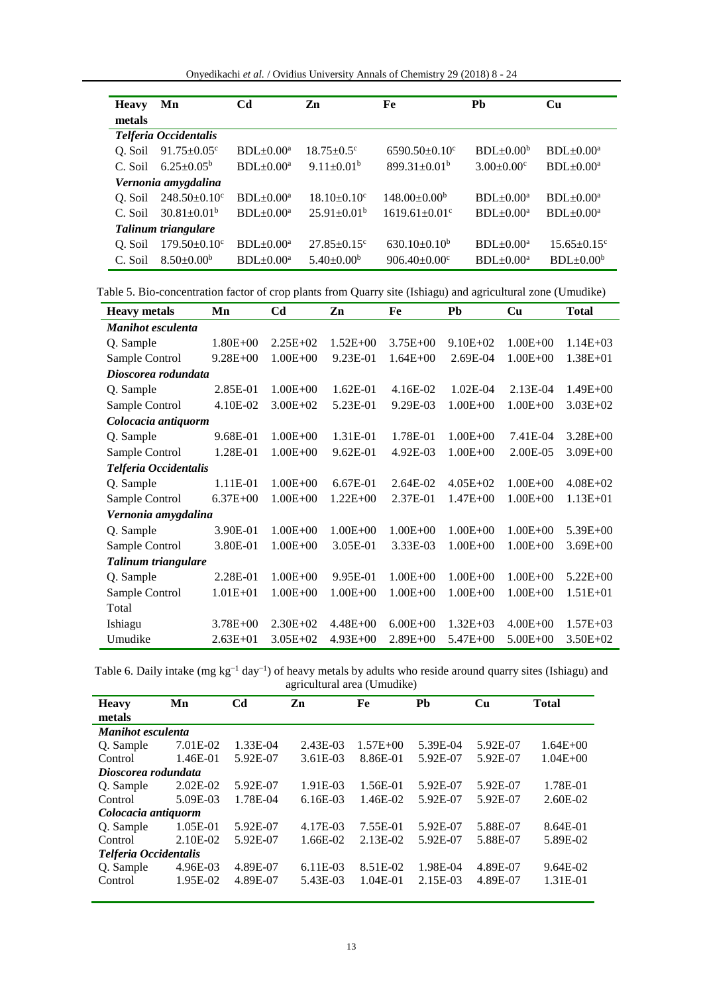Onyedikachi *et al.* / Ovidius University Annals of Chemistry 29 (2018) 8 - 24

| <b>Heavy</b> | Mn                             | <b>Cd</b>        | Zn                            | Fe                              | Pb                  | Cu                            |  |  |  |  |
|--------------|--------------------------------|------------------|-------------------------------|---------------------------------|---------------------|-------------------------------|--|--|--|--|
| metals       |                                |                  |                               |                                 |                     |                               |  |  |  |  |
|              | Telferia Occidentalis          |                  |                               |                                 |                     |                               |  |  |  |  |
| Q. Soil      | $91.75 \pm 0.05$ <sup>c</sup>  | $BDL+0.00a$      | $18.75 \pm 0.5$ <sup>c</sup>  | $6590.50+0.10^{\circ}$          | $BDL\pm0.00b$       | $BDL\pm0.00a$                 |  |  |  |  |
| C. Soil      | $6.25+0.05^{\rm b}$            | $BDL \pm 0.00^a$ | $9.11 \pm 0.01^b$             | $899.31 \pm 0.01^b$             | $3.00+0.00^{\circ}$ | $BDL \pm 0.00^a$              |  |  |  |  |
|              | Vernonia amygdalina            |                  |                               |                                 |                     |                               |  |  |  |  |
| O. Soil      | $248.50 \pm 0.10^c$            | $BDL \pm 0.00^a$ | $18.10\pm0.10^c$              | $148.00 \pm 0.00^b$             | $BDL+0.00a$         | $BDL{\pm}0.00^a$              |  |  |  |  |
| C. Soil      | $30.81 + 0.01b$                | $BDL \pm 0.00^a$ | $25.91 \pm 0.01^{\rm b}$      | $1619.61 \pm 0.01$ <sup>c</sup> | $BDL+0.00a$         | $BDL+0.00a$                   |  |  |  |  |
|              | Talinum triangulare            |                  |                               |                                 |                     |                               |  |  |  |  |
| Q. Soil      | $179.50 \pm 0.10$ <sup>c</sup> | $BDL+0.00a$      | $27.85 \pm 0.15$ <sup>c</sup> | $630.10 \pm 0.10^b$             | $BDL+0.00a$         | $15.65 \pm 0.15$ <sup>c</sup> |  |  |  |  |
| C. Soil      | $8.50 \pm 0.00^b$              | $BDL \pm 0.00^a$ | $5.40 \pm 0.00^b$             | $906.40 \pm 0.00$ °             | $BDL+0.00a$         | $BDL{\pm}0.00^b$              |  |  |  |  |

Table 5. Bio-concentration factor of crop plants from Quarry site (Ishiagu) and agricultural zone (Umudike)

| <b>Heavy metals</b>      | Mn           | C <sub>d</sub> | Zn           | Fe           | <b>Pb</b>    | <b>Cu</b>    | <b>Total</b> |
|--------------------------|--------------|----------------|--------------|--------------|--------------|--------------|--------------|
| <b>Manihot</b> esculenta |              |                |              |              |              |              |              |
| Q. Sample                | $1.80E + 00$ | $2.25E+02$     | $1.52E + 00$ | $3.75E + 00$ | $9.10E + 02$ | $1.00E + 00$ | $1.14E + 03$ |
| Sample Control           | $9.28E + 00$ | $1.00E + 00$   | 9.23E-01     | $1.64E + 00$ | 2.69E-04     | $1.00E + 00$ | $1.38E + 01$ |
| Dioscorea rodundata      |              |                |              |              |              |              |              |
| Q. Sample                | 2.85E-01     | $1.00E + 00$   | $1.62E - 01$ | 4.16E-02     | $1.02E-04$   | 2.13E-04     | $1.49E + 00$ |
| Sample Control           | 4.10E-02     | $3.00E + 02$   | 5.23E-01     | 9.29E-03     | $1.00E + 00$ | $1.00E + 00$ | $3.03E + 02$ |
| Colocacia antiquorm      |              |                |              |              |              |              |              |
| Q. Sample                | 9.68E-01     | $1.00E + 00$   | 1.31E-01     | 1.78E-01     | $1.00E + 00$ | 7.41E-04     | $3.28E + 00$ |
| Sample Control           | 1.28E-01     | $1.00E + 00$   | $9.62E - 01$ | 4.92E-03     | $1.00E + 00$ | 2.00E-05     | $3.09E + 00$ |
| Telferia Occidentalis    |              |                |              |              |              |              |              |
| Q. Sample                | 1.11E-01     | $1.00E + 00$   | $6.67E-01$   | 2.64E-02     | $4.05E + 02$ | $1.00E + 00$ | $4.08E + 02$ |
| Sample Control           | $6.37E + 00$ | $1.00E + 00$   | $1.22E + 00$ | 2.37E-01     | $1.47E + 00$ | $1.00E + 00$ | $1.13E + 01$ |
| Vernonia amygdalina      |              |                |              |              |              |              |              |
| Q. Sample                | 3.90E-01     | $1.00E + 00$   | $1.00E + 00$ | $1.00E + 00$ | $1.00E + 00$ | $1.00E + 00$ | $5.39E + 00$ |
| Sample Control           | 3.80E-01     | $1.00E + 00$   | 3.05E-01     | 3.33E-03     | $1.00E + 00$ | $1.00E + 00$ | $3.69E + 00$ |
| Talinum triangulare      |              |                |              |              |              |              |              |
| Q. Sample                | 2.28E-01     | $1.00E + 00$   | 9.95E-01     | $1.00E + 00$ | $1.00E + 00$ | $1.00E + 00$ | $5.22E + 00$ |
| Sample Control           | $1.01E + 01$ | $1.00E + 00$   | $1.00E + 00$ | $1.00E + 00$ | $1.00E + 00$ | $1.00E + 00$ | $1.51E + 01$ |
| Total                    |              |                |              |              |              |              |              |
| Ishiagu                  | $3.78E + 00$ | $2.30E + 02$   | $4.48E + 00$ | $6.00E + 00$ | $1.32E + 03$ | $4.00E + 00$ | $1.57E + 03$ |
| Umudike                  | $2.63E + 01$ | $3.05E + 02$   | $4.93E + 00$ | $2.89E + 00$ | $5.47E + 00$ | $5.00E + 00$ | $3.50E + 02$ |

Table 6. Daily intake (mg kg<sup>-1</sup> day<sup>-1</sup>) of heavy metals by adults who reside around quarry sites (Ishiagu) and agricultural area (Umudike)

l,

| <b>Heavy</b>             | Mn         | C <sub>d</sub> | Zn         | Fe           | Pb       | Cu       | <b>Total</b> |
|--------------------------|------------|----------------|------------|--------------|----------|----------|--------------|
| metals                   |            |                |            |              |          |          |              |
| <b>Manihot</b> esculenta |            |                |            |              |          |          |              |
| Q. Sample                | 7.01E-02   | 1.33E-04       | 2.43E-03   | $1.57E + 00$ | 5.39E-04 | 5.92E-07 | $1.64E + 00$ |
| Control                  | 1.46E-01   | 5.92E-07       | 3.61E-03   | 8.86E-01     | 5.92E-07 | 5.92E-07 | $1.04E + 00$ |
| Dioscorea rodundata      |            |                |            |              |          |          |              |
| Q. Sample                | $2.02E-02$ | 5.92E-07       | 1.91E-03   | 1.56E-01     | 5.92E-07 | 5.92E-07 | 1.78E-01     |
| Control                  | 5.09E-03   | 1.78E-04       | $6.16E-03$ | 1.46E-02     | 5.92E-07 | 5.92E-07 | $2.60E-02$   |
| Colocacia antiquorm      |            |                |            |              |          |          |              |
| O. Sample                | 1.05E-01   | 5.92E-07       | 4.17E-03   | 7.55E-01     | 5.92E-07 | 5.88E-07 | 8.64E-01     |
| Control                  | 2.10E-02   | 5.92E-07       | 1.66E-02   | 2.13E-02     | 5.92E-07 | 5.88E-07 | 5.89E-02     |
| Telferia Occidentalis    |            |                |            |              |          |          |              |
| Q. Sample                | 4.96E-03   | 4.89E-07       | $6.11E-03$ | 8.51E-02     | 1.98E-04 | 4.89E-07 | 9.64E-02     |
| Control                  | 1.95E-02   | 4.89E-07       | 5.43E-03   | $1.04E-01$   | 2.15E-03 | 4.89E-07 | 1.31E-01     |
|                          |            |                |            |              |          |          |              |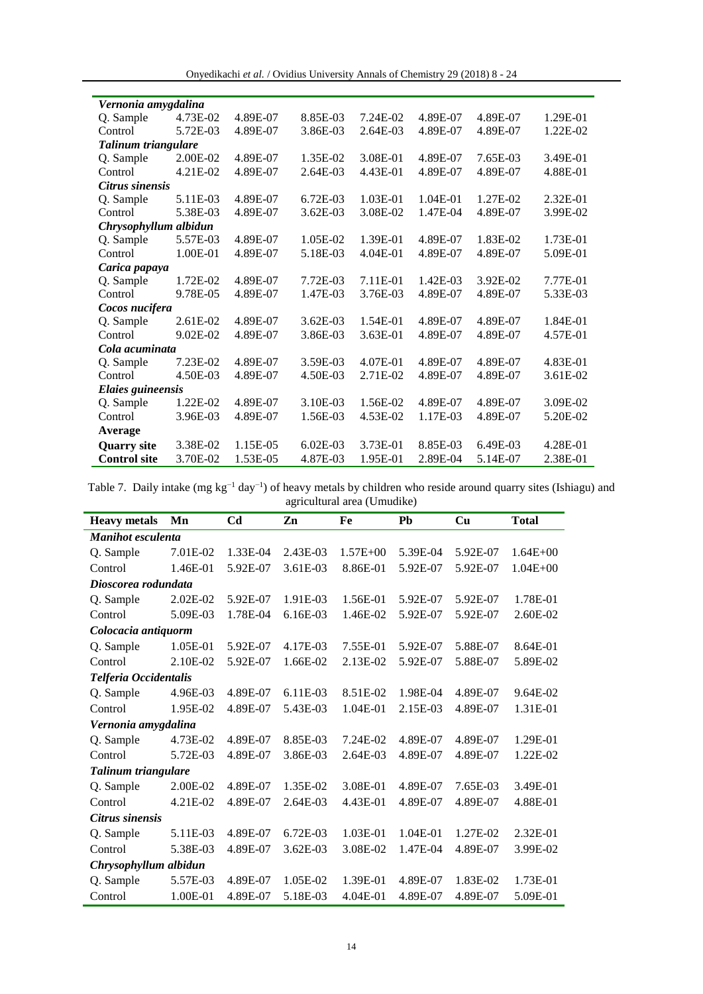|                       | Vernonia amygdalina |          |            |              |            |          |          |  |  |  |  |
|-----------------------|---------------------|----------|------------|--------------|------------|----------|----------|--|--|--|--|
| Q. Sample             | 4.73E-02            | 4.89E-07 | 8.85E-03   | 7.24E-02     | 4.89E-07   | 4.89E-07 | 1.29E-01 |  |  |  |  |
| Control               | 5.72E-03            | 4.89E-07 | 3.86E-03   | $2.64E-03$   | 4.89E-07   | 4.89E-07 | 1.22E-02 |  |  |  |  |
| Talinum triangulare   |                     |          |            |              |            |          |          |  |  |  |  |
| Q. Sample             | 2.00E-02            | 4.89E-07 | 1.35E-02   | 3.08E-01     | 4.89E-07   | 7.65E-03 | 3.49E-01 |  |  |  |  |
| Control               | 4.21E-02            | 4.89E-07 | 2.64E-03   | 4.43E-01     | 4.89E-07   | 4.89E-07 | 4.88E-01 |  |  |  |  |
| Citrus sinensis       |                     |          |            |              |            |          |          |  |  |  |  |
| Q. Sample             | 5.11E-03            | 4.89E-07 | 6.72E-03   | $1.03E - 01$ | $1.04E-01$ | 1.27E-02 | 2.32E-01 |  |  |  |  |
| Control               | 5.38E-03            | 4.89E-07 | 3.62E-03   | 3.08E-02     | 1.47E-04   | 4.89E-07 | 3.99E-02 |  |  |  |  |
| Chrysophyllum albidun |                     |          |            |              |            |          |          |  |  |  |  |
| Q. Sample             | 5.57E-03            | 4.89E-07 | 1.05E-02   | 1.39E-01     | 4.89E-07   | 1.83E-02 | 1.73E-01 |  |  |  |  |
| Control               | 1.00E-01            | 4.89E-07 | 5.18E-03   | 4.04E-01     | 4.89E-07   | 4.89E-07 | 5.09E-01 |  |  |  |  |
| Carica papaya         |                     |          |            |              |            |          |          |  |  |  |  |
| Q. Sample             | 1.72E-02            | 4.89E-07 | 7.72E-03   | 7.11E-01     | 1.42E-03   | 3.92E-02 | 7.77E-01 |  |  |  |  |
| Control               | 9.78E-05            | 4.89E-07 | 1.47E-03   | 3.76E-03     | 4.89E-07   | 4.89E-07 | 5.33E-03 |  |  |  |  |
| Cocos nucifera        |                     |          |            |              |            |          |          |  |  |  |  |
| Q. Sample             | 2.61E-02            | 4.89E-07 | 3.62E-03   | 1.54E-01     | 4.89E-07   | 4.89E-07 | 1.84E-01 |  |  |  |  |
| Control               | $9.02E - 02$        | 4.89E-07 | 3.86E-03   | 3.63E-01     | 4.89E-07   | 4.89E-07 | 4.57E-01 |  |  |  |  |
| Cola acuminata        |                     |          |            |              |            |          |          |  |  |  |  |
| Q. Sample             | 7.23E-02            | 4.89E-07 | 3.59E-03   | 4.07E-01     | 4.89E-07   | 4.89E-07 | 4.83E-01 |  |  |  |  |
| Control               | 4.50E-03            | 4.89E-07 | 4.50E-03   | 2.71E-02     | 4.89E-07   | 4.89E-07 | 3.61E-02 |  |  |  |  |
| Elaies guineensis     |                     |          |            |              |            |          |          |  |  |  |  |
| Q. Sample             | 1.22E-02            | 4.89E-07 | 3.10E-03   | 1.56E-02     | 4.89E-07   | 4.89E-07 | 3.09E-02 |  |  |  |  |
| Control               | 3.96E-03            | 4.89E-07 | 1.56E-03   | 4.53E-02     | 1.17E-03   | 4.89E-07 | 5.20E-02 |  |  |  |  |
| Average               |                     |          |            |              |            |          |          |  |  |  |  |
| <b>Quarry site</b>    | 3.38E-02            | 1.15E-05 | $6.02E-03$ | 3.73E-01     | 8.85E-03   | 6.49E-03 | 4.28E-01 |  |  |  |  |
| <b>Control site</b>   | 3.70E-02            | 1.53E-05 | 4.87E-03   | 1.95E-01     | 2.89E-04   | 5.14E-07 | 2.38E-01 |  |  |  |  |
|                       |                     |          |            |              |            |          |          |  |  |  |  |

Table 7. Daily intake (mg kg<sup>-1</sup> day<sup>-1</sup>) of heavy metals by children who reside around quarry sites (Ishiagu) and agricultural area (Umudike)

| C <sub>d</sub><br>Cu<br><b>Total</b><br><b>Heavy metals</b><br>Mn<br>Fe<br><b>Pb</b><br>Zn<br><b>Manihot</b> esculenta<br>7.01E-02<br>1.33E-04<br>2.43E-03<br>$1.57E + 00$<br>5.39E-04<br>5.92E-07<br>Q. Sample<br>$1.64E + 00$<br>3.61E-03<br>8.86E-01<br>5.92E-07<br>Control<br>1.46E-01<br>5.92E-07<br>5.92E-07<br>$1.04E + 00$<br>Dioscorea rodundata<br>1.78E-01<br>2.02E-02<br>5.92E-07<br>1.91E-03<br>1.56E-01<br>5.92E-07<br>5.92E-07<br>Q. Sample<br>Control<br>1.78E-04<br>6.16E-03<br>1.46E-02<br>5.92E-07<br>5.92E-07<br>2.60E-02<br>5.09E-03<br>Colocacia antiquorm<br>Q. Sample<br>1.05E-01<br>5.92E-07<br>4.17E-03<br>7.55E-01<br>5.92E-07<br>5.88E-07<br>8.64E-01<br>Control<br>2.10E-02<br>5.92E-07<br>1.66E-02<br>2.13E-02<br>5.92E-07<br>5.88E-07<br>5.89E-02<br>Telferia Occidentalis<br>4.96E-03<br>4.89E-07<br>$6.11E-03$<br>8.51E-02<br>1.98E-04<br>4.89E-07<br>9.64E-02<br>Q. Sample<br>Control<br>5.43E-03<br>1.04E-01<br>2.15E-03<br>4.89E-07<br>1.31E-01<br>1.95E-02<br>4.89E-07<br>Vernonia amygdalina<br>1.29E-01<br>Q. Sample<br>4.73E-02<br>4.89E-07<br>8.85E-03<br>7.24E-02<br>4.89E-07<br>4.89E-07<br>Control<br>1.22E-02<br>5.72E-03<br>4.89E-07<br>3.86E-03<br>2.64E-03<br>4.89E-07<br>4.89E-07<br>Talinum triangulare<br>2.00E-02<br>1.35E-02<br>3.08E-01<br>4.89E-07<br>7.65E-03<br>3.49E-01<br>Q. Sample<br>4.89E-07<br>Control<br>4.21E-02<br>4.89E-07<br>2.64E-03<br>4.43E-01<br>4.89E-07<br>4.89E-07<br>4.88E-01<br>Citrus sinensis<br>5.11E-03<br>4.89E-07<br>6.72E-03<br>1.03E-01<br>1.04E-01<br>1.27E-02<br>2.32E-01<br>Q. Sample<br>Control<br>5.38E-03<br>3.62E-03<br>3.08E-02<br>1.47E-04<br>4.89E-07<br>4.89E-07<br>3.99E-02<br>Chrysophyllum albidun<br>Q. Sample<br>1.05E-02<br>1.73E-01<br>5.57E-03<br>4.89E-07<br>1.39E-01<br>4.89E-07<br>1.83E-02<br>5.18E-03<br>Control<br>1.00E-01<br>4.89E-07<br>4.04E-01<br>4.89E-07<br>4.89E-07<br>5.09E-01 |  |  |  |  |
|-------------------------------------------------------------------------------------------------------------------------------------------------------------------------------------------------------------------------------------------------------------------------------------------------------------------------------------------------------------------------------------------------------------------------------------------------------------------------------------------------------------------------------------------------------------------------------------------------------------------------------------------------------------------------------------------------------------------------------------------------------------------------------------------------------------------------------------------------------------------------------------------------------------------------------------------------------------------------------------------------------------------------------------------------------------------------------------------------------------------------------------------------------------------------------------------------------------------------------------------------------------------------------------------------------------------------------------------------------------------------------------------------------------------------------------------------------------------------------------------------------------------------------------------------------------------------------------------------------------------------------------------------------------------------------------------------------------------------------------------------------------------------------------------------------------------------------------------------------------------------------------------------------|--|--|--|--|
|                                                                                                                                                                                                                                                                                                                                                                                                                                                                                                                                                                                                                                                                                                                                                                                                                                                                                                                                                                                                                                                                                                                                                                                                                                                                                                                                                                                                                                                                                                                                                                                                                                                                                                                                                                                                                                                                                                       |  |  |  |  |
|                                                                                                                                                                                                                                                                                                                                                                                                                                                                                                                                                                                                                                                                                                                                                                                                                                                                                                                                                                                                                                                                                                                                                                                                                                                                                                                                                                                                                                                                                                                                                                                                                                                                                                                                                                                                                                                                                                       |  |  |  |  |
|                                                                                                                                                                                                                                                                                                                                                                                                                                                                                                                                                                                                                                                                                                                                                                                                                                                                                                                                                                                                                                                                                                                                                                                                                                                                                                                                                                                                                                                                                                                                                                                                                                                                                                                                                                                                                                                                                                       |  |  |  |  |
|                                                                                                                                                                                                                                                                                                                                                                                                                                                                                                                                                                                                                                                                                                                                                                                                                                                                                                                                                                                                                                                                                                                                                                                                                                                                                                                                                                                                                                                                                                                                                                                                                                                                                                                                                                                                                                                                                                       |  |  |  |  |
|                                                                                                                                                                                                                                                                                                                                                                                                                                                                                                                                                                                                                                                                                                                                                                                                                                                                                                                                                                                                                                                                                                                                                                                                                                                                                                                                                                                                                                                                                                                                                                                                                                                                                                                                                                                                                                                                                                       |  |  |  |  |
|                                                                                                                                                                                                                                                                                                                                                                                                                                                                                                                                                                                                                                                                                                                                                                                                                                                                                                                                                                                                                                                                                                                                                                                                                                                                                                                                                                                                                                                                                                                                                                                                                                                                                                                                                                                                                                                                                                       |  |  |  |  |
|                                                                                                                                                                                                                                                                                                                                                                                                                                                                                                                                                                                                                                                                                                                                                                                                                                                                                                                                                                                                                                                                                                                                                                                                                                                                                                                                                                                                                                                                                                                                                                                                                                                                                                                                                                                                                                                                                                       |  |  |  |  |
|                                                                                                                                                                                                                                                                                                                                                                                                                                                                                                                                                                                                                                                                                                                                                                                                                                                                                                                                                                                                                                                                                                                                                                                                                                                                                                                                                                                                                                                                                                                                                                                                                                                                                                                                                                                                                                                                                                       |  |  |  |  |
|                                                                                                                                                                                                                                                                                                                                                                                                                                                                                                                                                                                                                                                                                                                                                                                                                                                                                                                                                                                                                                                                                                                                                                                                                                                                                                                                                                                                                                                                                                                                                                                                                                                                                                                                                                                                                                                                                                       |  |  |  |  |
|                                                                                                                                                                                                                                                                                                                                                                                                                                                                                                                                                                                                                                                                                                                                                                                                                                                                                                                                                                                                                                                                                                                                                                                                                                                                                                                                                                                                                                                                                                                                                                                                                                                                                                                                                                                                                                                                                                       |  |  |  |  |
|                                                                                                                                                                                                                                                                                                                                                                                                                                                                                                                                                                                                                                                                                                                                                                                                                                                                                                                                                                                                                                                                                                                                                                                                                                                                                                                                                                                                                                                                                                                                                                                                                                                                                                                                                                                                                                                                                                       |  |  |  |  |
|                                                                                                                                                                                                                                                                                                                                                                                                                                                                                                                                                                                                                                                                                                                                                                                                                                                                                                                                                                                                                                                                                                                                                                                                                                                                                                                                                                                                                                                                                                                                                                                                                                                                                                                                                                                                                                                                                                       |  |  |  |  |
|                                                                                                                                                                                                                                                                                                                                                                                                                                                                                                                                                                                                                                                                                                                                                                                                                                                                                                                                                                                                                                                                                                                                                                                                                                                                                                                                                                                                                                                                                                                                                                                                                                                                                                                                                                                                                                                                                                       |  |  |  |  |
|                                                                                                                                                                                                                                                                                                                                                                                                                                                                                                                                                                                                                                                                                                                                                                                                                                                                                                                                                                                                                                                                                                                                                                                                                                                                                                                                                                                                                                                                                                                                                                                                                                                                                                                                                                                                                                                                                                       |  |  |  |  |
|                                                                                                                                                                                                                                                                                                                                                                                                                                                                                                                                                                                                                                                                                                                                                                                                                                                                                                                                                                                                                                                                                                                                                                                                                                                                                                                                                                                                                                                                                                                                                                                                                                                                                                                                                                                                                                                                                                       |  |  |  |  |
|                                                                                                                                                                                                                                                                                                                                                                                                                                                                                                                                                                                                                                                                                                                                                                                                                                                                                                                                                                                                                                                                                                                                                                                                                                                                                                                                                                                                                                                                                                                                                                                                                                                                                                                                                                                                                                                                                                       |  |  |  |  |
|                                                                                                                                                                                                                                                                                                                                                                                                                                                                                                                                                                                                                                                                                                                                                                                                                                                                                                                                                                                                                                                                                                                                                                                                                                                                                                                                                                                                                                                                                                                                                                                                                                                                                                                                                                                                                                                                                                       |  |  |  |  |
|                                                                                                                                                                                                                                                                                                                                                                                                                                                                                                                                                                                                                                                                                                                                                                                                                                                                                                                                                                                                                                                                                                                                                                                                                                                                                                                                                                                                                                                                                                                                                                                                                                                                                                                                                                                                                                                                                                       |  |  |  |  |
|                                                                                                                                                                                                                                                                                                                                                                                                                                                                                                                                                                                                                                                                                                                                                                                                                                                                                                                                                                                                                                                                                                                                                                                                                                                                                                                                                                                                                                                                                                                                                                                                                                                                                                                                                                                                                                                                                                       |  |  |  |  |
|                                                                                                                                                                                                                                                                                                                                                                                                                                                                                                                                                                                                                                                                                                                                                                                                                                                                                                                                                                                                                                                                                                                                                                                                                                                                                                                                                                                                                                                                                                                                                                                                                                                                                                                                                                                                                                                                                                       |  |  |  |  |
|                                                                                                                                                                                                                                                                                                                                                                                                                                                                                                                                                                                                                                                                                                                                                                                                                                                                                                                                                                                                                                                                                                                                                                                                                                                                                                                                                                                                                                                                                                                                                                                                                                                                                                                                                                                                                                                                                                       |  |  |  |  |
|                                                                                                                                                                                                                                                                                                                                                                                                                                                                                                                                                                                                                                                                                                                                                                                                                                                                                                                                                                                                                                                                                                                                                                                                                                                                                                                                                                                                                                                                                                                                                                                                                                                                                                                                                                                                                                                                                                       |  |  |  |  |
|                                                                                                                                                                                                                                                                                                                                                                                                                                                                                                                                                                                                                                                                                                                                                                                                                                                                                                                                                                                                                                                                                                                                                                                                                                                                                                                                                                                                                                                                                                                                                                                                                                                                                                                                                                                                                                                                                                       |  |  |  |  |
|                                                                                                                                                                                                                                                                                                                                                                                                                                                                                                                                                                                                                                                                                                                                                                                                                                                                                                                                                                                                                                                                                                                                                                                                                                                                                                                                                                                                                                                                                                                                                                                                                                                                                                                                                                                                                                                                                                       |  |  |  |  |
|                                                                                                                                                                                                                                                                                                                                                                                                                                                                                                                                                                                                                                                                                                                                                                                                                                                                                                                                                                                                                                                                                                                                                                                                                                                                                                                                                                                                                                                                                                                                                                                                                                                                                                                                                                                                                                                                                                       |  |  |  |  |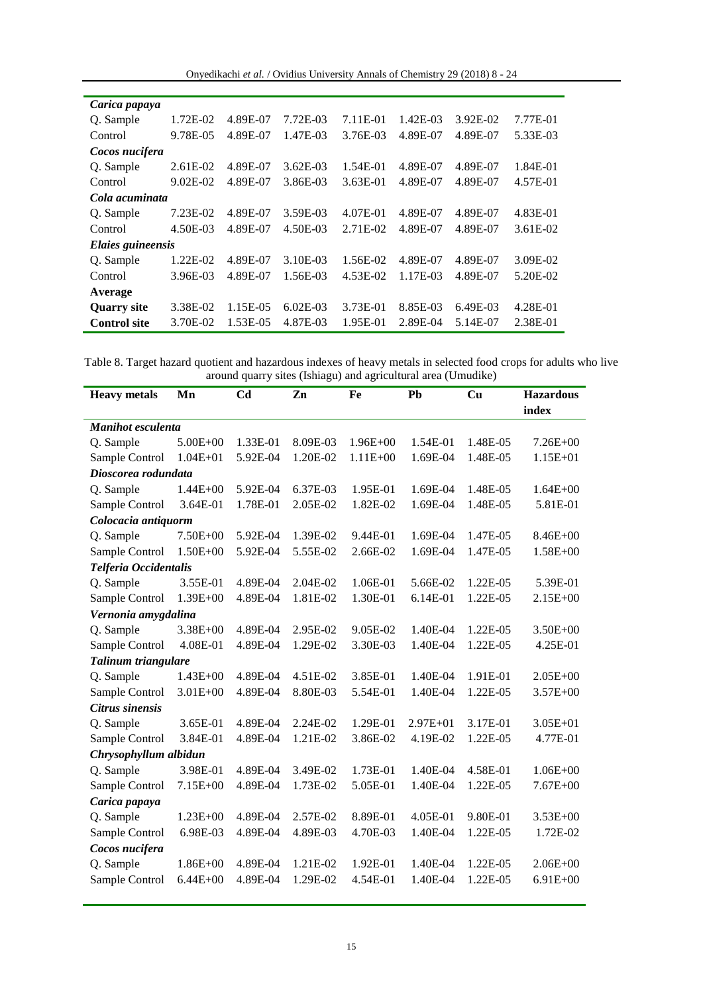| Carica papaya       |                |          |            |            |          |            |          |  |  |  |
|---------------------|----------------|----------|------------|------------|----------|------------|----------|--|--|--|
| Q. Sample           | 1.72E-02       | 4.89E-07 | 7.72E-03   | 7.11E-01   | 1.42E-03 | 3.92E-02   | 7.77E-01 |  |  |  |
| Control             | 9.78E-05       | 4.89E-07 | 1.47E-03   | 3.76E-03   | 4.89E-07 | 4.89E-07   | 5.33E-03 |  |  |  |
| Cocos nucifera      |                |          |            |            |          |            |          |  |  |  |
| Q. Sample           | 2.61E-02       | 4.89E-07 | $3.62E-03$ | 1.54E-01   | 4.89E-07 | 4.89E-07   | 1.84E-01 |  |  |  |
| Control             | $9.02E-02$     | 4.89E-07 | 3.86E-03   | $3.63E-01$ | 4.89E-07 | 4.89E-07   | 4.57E-01 |  |  |  |
|                     | Cola acuminata |          |            |            |          |            |          |  |  |  |
| Q. Sample           | 7.23E-02       | 4.89E-07 | 3.59E-03   | 4.07E-01   | 4.89E-07 | 4.89E-07   | 4.83E-01 |  |  |  |
| Control             | 4.50E-03       | 4.89E-07 | 4.50E-03   | 2.71E-02   | 4.89E-07 | 4.89E-07   | 3.61E-02 |  |  |  |
| Elaies guineensis   |                |          |            |            |          |            |          |  |  |  |
| Q. Sample           | 1.22E-02       | 4.89E-07 | 3.10E-03   | 1.56E-02   | 4.89E-07 | 4.89E-07   | 3.09E-02 |  |  |  |
| Control             | 3.96E-03       | 4.89E-07 | 1.56E-03   | 4.53E-02   | 1.17E-03 | 4.89E-07   | 5.20E-02 |  |  |  |
| Average             |                |          |            |            |          |            |          |  |  |  |
| <b>Quarry site</b>  | 3.38E-02       | 1.15E-05 | $6.02E-03$ | 3.73E-01   | 8.85E-03 | $6.49E-03$ | 4.28E-01 |  |  |  |
| <b>Control site</b> | 3.70E-02       | 1.53E-05 | 4.87E-03   | 1.95E-01   | 2.89E-04 | 5.14E-07   | 2.38E-01 |  |  |  |

Table 8. Target hazard quotient and hazardous indexes of heavy metals in selected food crops for adults who live around quarry sites (Ishiagu) and agricultural area (Umudike)

| <b>Heavy</b> metals      | Mn           | C <sub>d</sub> | Zn       | Fe           | Pb           | Cu       | <b>Hazardous</b> |
|--------------------------|--------------|----------------|----------|--------------|--------------|----------|------------------|
|                          |              |                |          |              |              |          | index            |
| <b>Manihot</b> esculenta |              |                |          |              |              |          |                  |
| Q. Sample                | $5.00E + 00$ | 1.33E-01       | 8.09E-03 | $1.96E + 00$ | 1.54E-01     | 1.48E-05 | $7.26E + 00$     |
| Sample Control           | $1.04E + 01$ | 5.92E-04       | 1.20E-02 | $1.11E + 00$ | 1.69E-04     | 1.48E-05 | $1.15E + 01$     |
| Dioscorea rodundata      |              |                |          |              |              |          |                  |
| Q. Sample                | $1.44E + 00$ | 5.92E-04       | 6.37E-03 | 1.95E-01     | 1.69E-04     | 1.48E-05 | $1.64E + 00$     |
| Sample Control           | 3.64E-01     | 1.78E-01       | 2.05E-02 | 1.82E-02     | 1.69E-04     | 1.48E-05 | 5.81E-01         |
| Colocacia antiquorm      |              |                |          |              |              |          |                  |
| Q. Sample                | 7.50E+00     | 5.92E-04       | 1.39E-02 | 9.44E-01     | 1.69E-04     | 1.47E-05 | 8.46E+00         |
| Sample Control           | $1.50E + 00$ | 5.92E-04       | 5.55E-02 | 2.66E-02     | 1.69E-04     | 1.47E-05 | $1.58E + 00$     |
| Telferia Occidentalis    |              |                |          |              |              |          |                  |
| Q. Sample                | 3.55E-01     | 4.89E-04       | 2.04E-02 | 1.06E-01     | 5.66E-02     | 1.22E-05 | 5.39E-01         |
| Sample Control           | 1.39E+00     | 4.89E-04       | 1.81E-02 | 1.30E-01     | 6.14E-01     | 1.22E-05 | $2.15E + 00$     |
| Vernonia amygdalina      |              |                |          |              |              |          |                  |
| Q. Sample                | 3.38E+00     | 4.89E-04       | 2.95E-02 | 9.05E-02     | 1.40E-04     | 1.22E-05 | $3.50E + 00$     |
| Sample Control           | 4.08E-01     | 4.89E-04       | 1.29E-02 | 3.30E-03     | 1.40E-04     | 1.22E-05 | 4.25E-01         |
| Talinum triangulare      |              |                |          |              |              |          |                  |
| Q. Sample                | $1.43E + 00$ | 4.89E-04       | 4.51E-02 | 3.85E-01     | 1.40E-04     | 1.91E-01 | $2.05E + 00$     |
| Sample Control           | $3.01E + 00$ | 4.89E-04       | 8.80E-03 | 5.54E-01     | 1.40E-04     | 1.22E-05 | 3.57E+00         |
| Citrus sinensis          |              |                |          |              |              |          |                  |
| Q. Sample                | 3.65E-01     | 4.89E-04       | 2.24E-02 | 1.29E-01     | $2.97E + 01$ | 3.17E-01 | $3.05E + 01$     |
| Sample Control           | 3.84E-01     | 4.89E-04       | 1.21E-02 | 3.86E-02     | 4.19E-02     | 1.22E-05 | 4.77E-01         |
| Chrysophyllum albidun    |              |                |          |              |              |          |                  |
| Q. Sample                | 3.98E-01     | 4.89E-04       | 3.49E-02 | 1.73E-01     | 1.40E-04     | 4.58E-01 | $1.06E + 00$     |
| Sample Control           | $7.15E + 00$ | 4.89E-04       | 1.73E-02 | 5.05E-01     | 1.40E-04     | 1.22E-05 | $7.67E + 00$     |
| Carica papaya            |              |                |          |              |              |          |                  |
| Q. Sample                | 1.23E+00     | 4.89E-04       | 2.57E-02 | 8.89E-01     | 4.05E-01     | 9.80E-01 | $3.53E + 00$     |
| Sample Control           | 6.98E-03     | 4.89E-04       | 4.89E-03 | 4.70E-03     | 1.40E-04     | 1.22E-05 | 1.72E-02         |
| Cocos nucifera           |              |                |          |              |              |          |                  |
| Q. Sample                | $1.86E + 00$ | 4.89E-04       | 1.21E-02 | 1.92E-01     | 1.40E-04     | 1.22E-05 | $2.06E + 00$     |
| Sample Control           | $6.44E + 00$ | 4.89E-04       | 1.29E-02 | 4.54E-01     | 1.40E-04     | 1.22E-05 | $6.91E + 00$     |
|                          |              |                |          |              |              |          |                  |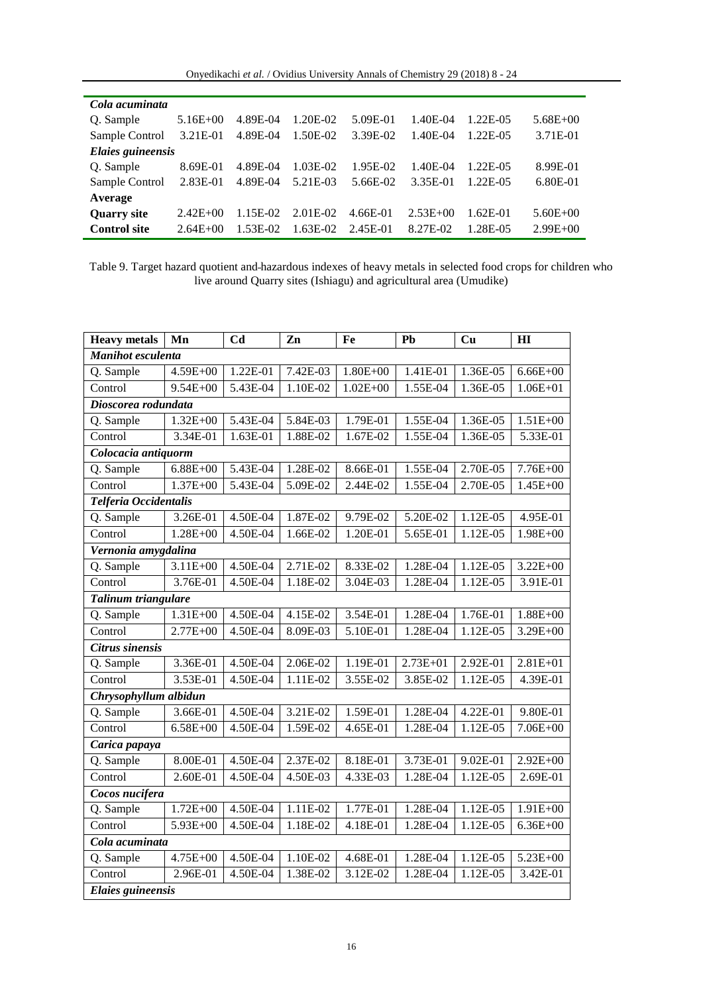| Onyedikachi et al. / Ovidius University Annals of Chemistry 29 (2018) 8 - 24 |  |
|------------------------------------------------------------------------------|--|
|------------------------------------------------------------------------------|--|

| Cola acuminata      |              |          |            |          |              |            |              |  |  |
|---------------------|--------------|----------|------------|----------|--------------|------------|--------------|--|--|
| O. Sample           | $5.16E + 00$ | 4.89E-04 | 1.20E-02   | 5.09E-01 | 1.40E-04     | 1.22E-05   | $5.68E + 00$ |  |  |
| Sample Control      | 3.21E-01     | 4.89E-04 | 1.50E-02   | 3.39E-02 | 1.40E-04     | 1.22E-05   | 3.71E-01     |  |  |
| Elaies guineensis   |              |          |            |          |              |            |              |  |  |
| Q. Sample           | 8.69E-01     | 4.89E-04 | $1.03E-02$ | 1.95E-02 | 1.40E-04     | $1.22E-05$ | 8.99E-01     |  |  |
| Sample Control      | 2.83E-01     | 4.89E-04 | 5.21E-03   | 5.66E-02 | 3.35E-01     | 1.22E-05   | $6.80E-01$   |  |  |
| Average             |              |          |            |          |              |            |              |  |  |
| <b>Quarry site</b>  | $2.42E + 00$ | 1.15E-02 | $2.01E-02$ | 4.66E-01 | $2.53E + 00$ | 1.62E-01   | $5.60E + 00$ |  |  |
| <b>Control site</b> | $2.64E + 00$ | 1.53E-02 | $1.63E-02$ | 2.45E-01 | 8.27E-02     | 1.28E-05   | $2.99E + 00$ |  |  |

Table 9. Target hazard quotient and hazardous indexes of heavy metals in selected food crops for children who live around Quarry sites (Ishiagu) and agricultural area (Umudike)

| <b>Heavy</b> metals   | Mn           | C <sub>d</sub> | Zn       | Fe           | Pb       | Cu       | HI           |
|-----------------------|--------------|----------------|----------|--------------|----------|----------|--------------|
| Manihot esculenta     |              |                |          |              |          |          |              |
| Q. Sample             | 4.59E+00     | 1.22E-01       | 7.42E-03 | $1.80E + 00$ | 1.41E-01 | 1.36E-05 | $6.66E + 00$ |
| Control               | $9.54E + 00$ | 5.43E-04       | 1.10E-02 | $1.02E + 00$ | 1.55E-04 | 1.36E-05 | $1.06E + 01$ |
| Dioscorea rodundata   |              |                |          |              |          |          |              |
| Q. Sample             | $1.32E + 00$ | 5.43E-04       | 5.84E-03 | 1.79E-01     | 1.55E-04 | 1.36E-05 | $1.51E + 00$ |
| Control               | 3.34E-01     | 1.63E-01       | 1.88E-02 | 1.67E-02     | 1.55E-04 | 1.36E-05 | 5.33E-01     |
| Colocacia antiquorm   |              |                |          |              |          |          |              |
| Q. Sample             | $6.88E + 00$ | 5.43E-04       | 1.28E-02 | 8.66E-01     | 1.55E-04 | 2.70E-05 | 7.76E+00     |
| Control               | $1.37E + 00$ | 5.43E-04       | 5.09E-02 | 2.44E-02     | 1.55E-04 | 2.70E-05 | $1.45E + 00$ |
| Telferia Occidentalis |              |                |          |              |          |          |              |
| Q. Sample             | 3.26E-01     | 4.50E-04       | 1.87E-02 | 9.79E-02     | 5.20E-02 | 1.12E-05 | 4.95E-01     |
| Control               | $1.28E + 00$ | 4.50E-04       | 1.66E-02 | 1.20E-01     | 5.65E-01 | 1.12E-05 | $1.98E + 00$ |
| Vernonia amygdalina   |              |                |          |              |          |          |              |
| Q. Sample             | $3.11E + 00$ | 4.50E-04       | 2.71E-02 | 8.33E-02     | 1.28E-04 | 1.12E-05 | $3.22E + 00$ |
| Control               | 3.76E-01     | 4.50E-04       | 1.18E-02 | 3.04E-03     | 1.28E-04 | 1.12E-05 | 3.91E-01     |
| Talinum triangulare   |              |                |          |              |          |          |              |
| Q. Sample             | $1.31E + 00$ | 4.50E-04       | 4.15E-02 | $3.54E-01$   | 1.28E-04 | 1.76E-01 | $1.88E + 00$ |
| Control               | $2.77E + 00$ | 4.50E-04       | 8.09E-03 | 5.10E-01     | 1.28E-04 | 1.12E-05 | 3.29E+00     |
| Citrus sinensis       |              |                |          |              |          |          |              |
| Q. Sample             | 3.36E-01     | 4.50E-04       | 2.06E-02 | 1.19E-01     | 2.73E+01 | 2.92E-01 | 2.81E+01     |
| Control               | 3.53E-01     | 4.50E-04       | 1.11E-02 | 3.55E-02     | 3.85E-02 | 1.12E-05 | 4.39E-01     |
| Chrysophyllum albidun |              |                |          |              |          |          |              |
| Q. Sample             | 3.66E-01     | 4.50E-04       | 3.21E-02 | 1.59E-01     | 1.28E-04 | 4.22E-01 | 9.80E-01     |
| Control               | $6.58E + 00$ | 4.50E-04       | 1.59E-02 | 4.65E-01     | 1.28E-04 | 1.12E-05 | 7.06E+00     |
| Carica papaya         |              |                |          |              |          |          |              |
| Q. Sample             | 8.00E-01     | 4.50E-04       | 2.37E-02 | 8.18E-01     | 3.73E-01 | 9.02E-01 | $2.92E + 00$ |
| Control               | 2.60E-01     | 4.50E-04       | 4.50E-03 | 4.33E-03     | 1.28E-04 | 1.12E-05 | 2.69E-01     |
| Cocos nucifera        |              |                |          |              |          |          |              |
| Q. Sample             | $1.72E + 00$ | 4.50E-04       | 1.11E-02 | 1.77E-01     | 1.28E-04 | 1.12E-05 | 1.91E+00     |
| Control               | 5.93E+00     | 4.50E-04       | 1.18E-02 | 4.18E-01     | 1.28E-04 | 1.12E-05 | $6.36E + 00$ |
| Cola acuminata        |              |                |          |              |          |          |              |
| Q. Sample             | 4.75E+00     | 4.50E-04       | 1.10E-02 | 4.68E-01     | 1.28E-04 | 1.12E-05 | 5.23E+00     |
| Control               | 2.96E-01     | 4.50E-04       | 1.38E-02 | 3.12E-02     | 1.28E-04 | 1.12E-05 | 3.42E-01     |
| Elaies guineensis     |              |                |          |              |          |          |              |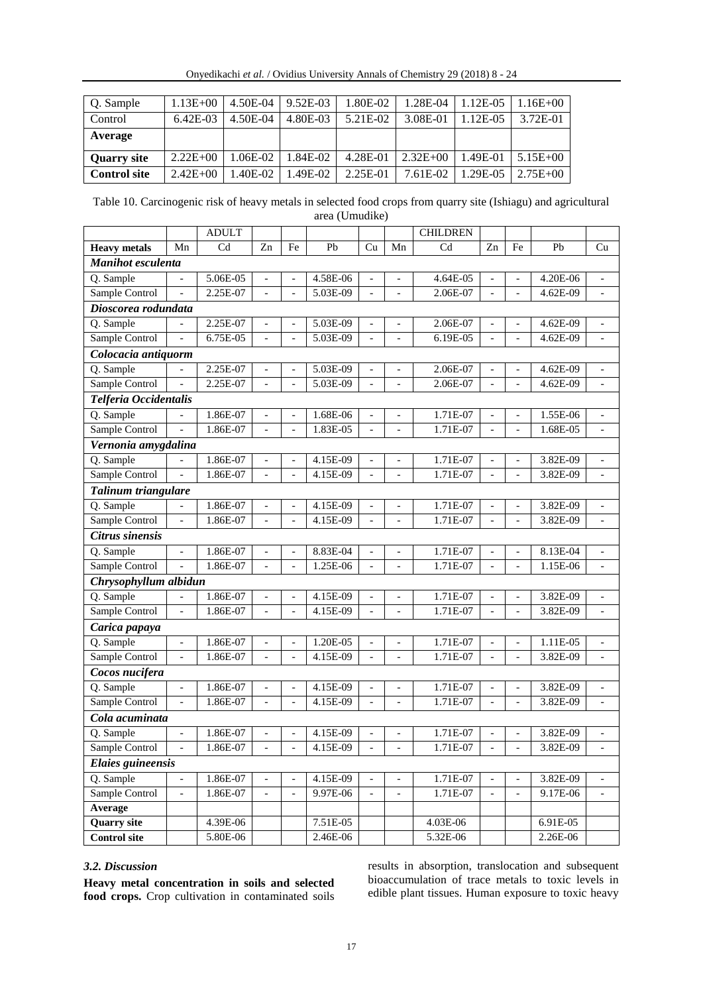| Q. Sample           | $1.13E + 00$ | 4.50E-04 | 9.52E-03 | 1.80E-02 | 1.28E-04     | $1.12E-05$  | $1.16E + 00$ |
|---------------------|--------------|----------|----------|----------|--------------|-------------|--------------|
| Control             | $6.42E-03$   | 4.50E-04 | 4.80E-03 | 5.21E-02 | 3.08E-01     | $1.12E-0.5$ | 3.72E-01     |
| Average             |              |          |          |          |              |             |              |
| <b>Quarry site</b>  | $2.22E + 00$ | 1.06E-02 | 1.84E-02 | 4.28E-01 | $2.32E + 00$ | 1.49E-01    | $5.15E+00$   |
| <b>Control site</b> | $2.42E + 00$ | 1.40E-02 | 1.49E-02 | 2.25E-01 | 7.61E-02     | $1.29E-0.5$ | $2.75E + 00$ |

Table 10. Carcinogenic risk of heavy metals in selected food crops from quarry site (Ishiagu) and agricultural area (Umudike)

|                          |                          | <b>ADULT</b>   |                |                              |                |                          |                              | <b>CHILDREN</b> |                          |                          |                |                              |
|--------------------------|--------------------------|----------------|----------------|------------------------------|----------------|--------------------------|------------------------------|-----------------|--------------------------|--------------------------|----------------|------------------------------|
| <b>Heavy</b> metals      | Mn                       | C <sub>d</sub> | Zn             | Fe                           | P <sub>b</sub> | Cu                       | Mn                           | C <sub>d</sub>  | Zn                       | Fe                       | P <sub>b</sub> | Cu                           |
| Manihot esculenta        |                          |                |                |                              |                |                          |                              |                 |                          |                          |                |                              |
| O. Sample                |                          | 5.06E-05       |                |                              | 4.58E-06       | $\overline{a}$           | $\overline{a}$               | 4.64E-05        |                          |                          | 4.20E-06       |                              |
| Sample Control           |                          | 2.25E-07       |                | $\overline{a}$               | 5.03E-09       | $\overline{a}$           |                              | 2.06E-07        |                          | $\overline{a}$           | 4.62E-09       | $\bar{a}$                    |
| Dioscorea rodundata      |                          |                |                |                              |                |                          |                              |                 |                          |                          |                |                              |
| Q. Sample                |                          | 2.25E-07       |                | $\overline{a}$               | 5.03E-09       | $\sim$                   | $\overline{a}$               | 2.06E-07        | $\overline{a}$           | $\overline{a}$           | 4.62E-09       | $\overline{\phantom{a}}$     |
| Sample Control           |                          | 6.75E-05       |                |                              | 5.03E-09       | $\overline{a}$           | $\overline{a}$               | 6.19E-05        |                          | $\overline{a}$           | 4.62E-09       | $\overline{a}$               |
| Colocacia antiquorm      |                          |                |                |                              |                |                          |                              |                 |                          |                          |                |                              |
| Q. Sample                |                          | 2.25E-07       |                | $\overline{a}$               | 5.03E-09       | $\overline{a}$           |                              | 2.06E-07        |                          |                          | 4.62E-09       | $\sim$                       |
| Sample Control           |                          | 2.25E-07       |                |                              | 5.03E-09       | $\overline{a}$           |                              | 2.06E-07        |                          | $\overline{a}$           | 4.62E-09       | $\equiv$                     |
| Telferia Occidentalis    |                          |                |                |                              |                |                          |                              |                 |                          |                          |                |                              |
| Q. Sample                |                          | 1.86E-07       | $\overline{a}$ | $\sim$                       | 1.68E-06       | $\blacksquare$           | $\blacksquare$               | 1.71E-07        | $\blacksquare$           | $\overline{\phantom{a}}$ | 1.55E-06       | $\frac{1}{2}$                |
| Sample Control           |                          | 1.86E-07       | $\overline{a}$ | $\overline{a}$               | 1.83E-05       | $\overline{a}$           | $\overline{a}$               | 1.71E-07        | $\overline{a}$           | $\frac{1}{2}$            | 1.68E-05       | $\frac{1}{2}$                |
| Vernonia amygdalina      |                          |                |                |                              |                |                          |                              |                 |                          |                          |                |                              |
| Q. Sample                |                          | 1.86E-07       |                | $\sim$                       | 4.15E-09       | $\overline{\phantom{a}}$ | $\overline{a}$               | 1.71E-07        | $\overline{a}$           | $\sim$                   | 3.82E-09       | $\overline{\phantom{a}}$     |
| Sample Control           |                          | 1.86E-07       | $\overline{a}$ | $\overline{a}$               | 4.15E-09       | $\overline{a}$           | $\overline{a}$               | 1.71E-07        | $\overline{a}$           | $\overline{a}$           | 3.82E-09       | $\overline{\phantom{a}}$     |
| Talinum triangulare      |                          |                |                |                              |                |                          |                              |                 |                          |                          |                |                              |
| Q. Sample                |                          | 1.86E-07       |                |                              | 4.15E-09       | $\blacksquare$           |                              | 1.71E-07        | $\overline{\phantom{a}}$ |                          | 3.82E-09       |                              |
| Sample Control           | $\overline{a}$           | 1.86E-07       | $\overline{a}$ | $\overline{a}$               | 4.15E-09       | $\overline{a}$           | $\overline{a}$               | 1.71E-07        | $\overline{a}$           | $\overline{a}$           | 3.82E-09       | $\frac{1}{2}$                |
| Citrus sinensis          |                          |                |                |                              |                |                          |                              |                 |                          |                          |                |                              |
| Q. Sample                |                          | 1.86E-07       |                | $\overline{a}$               | 8.83E-04       | $\overline{\phantom{a}}$ | $\overline{a}$               | 1.71E-07        |                          | $\overline{\phantom{a}}$ | 8.13E-04       | $\blacksquare$               |
| Sample Control           |                          | 1.86E-07       |                | $\overline{a}$               | 1.25E-06       | $\overline{a}$           | $\overline{a}$               | 1.71E-07        |                          | $\overline{a}$           | 1.15E-06       | $\frac{1}{2}$                |
| Chrysophyllum albidun    |                          |                |                |                              |                |                          |                              |                 |                          |                          |                |                              |
| Q. Sample                |                          | 1.86E-07       |                | $\overline{a}$               | 4.15E-09       | $\blacksquare$           | $\overline{a}$               | 1.71E-07        | $\overline{a}$           | $\overline{a}$           | 3.82E-09       | $\blacksquare$               |
| Sample Control           | $\overline{a}$           | 1.86E-07       | $\overline{a}$ | $\overline{a}$               | 4.15E-09       | $\overline{a}$           | $\overline{a}$               | 1.71E-07        | $\overline{a}$           | $\overline{a}$           | 3.82E-09       | $\frac{1}{2}$                |
| Carica papaya            |                          |                |                |                              |                |                          |                              |                 |                          |                          |                |                              |
| Q. Sample                | $\overline{\phantom{0}}$ | 1.86E-07       |                | $\qquad \qquad \blacksquare$ | 1.20E-05       | $\overline{\phantom{a}}$ | $\qquad \qquad -$            | 1.71E-07        | $\qquad \qquad \Box$     | $\blacksquare$           | 1.11E-05       | $\blacksquare$               |
| Sample Control           | $\overline{a}$           | 1.86E-07       |                | $\frac{1}{2}$                | 4.15E-09       | $\frac{1}{2}$            | $\overline{a}$               | 1.71E-07        | $\frac{1}{2}$            | $\frac{1}{2}$            | 3.82E-09       | $\overline{\phantom{a}}$     |
| Cocos nucifera           |                          |                |                |                              |                |                          |                              |                 |                          |                          |                |                              |
| Q. Sample                |                          | 1.86E-07       |                |                              | 4.15E-09       | $\blacksquare$           |                              | 1.71E-07        |                          |                          | 3.82E-09       | $\qquad \qquad \blacksquare$ |
| Sample Control           | $\overline{a}$           | 1.86E-07       |                |                              | 4.15E-09       | $\overline{a}$           | $\overline{a}$               | 1.71E-07        | $\overline{a}$           | $\overline{a}$           | 3.82E-09       | $\frac{1}{2}$                |
| Cola acuminata           |                          |                |                |                              |                |                          |                              |                 |                          |                          |                |                              |
| Q. Sample                |                          | 1.86E-07       |                |                              | 4.15E-09       | $\qquad \qquad -$        | $\qquad \qquad \blacksquare$ | 1.71E-07        |                          | $\overline{a}$           | 3.82E-09       |                              |
| Sample Control           |                          | 1.86E-07       |                |                              | 4.15E-09       | $\overline{a}$           | $\overline{a}$               | 1.71E-07        | $\overline{a}$           | $\overline{a}$           | 3.82E-09       |                              |
| <b>Elaies guineensis</b> |                          |                |                |                              |                |                          |                              |                 |                          |                          |                |                              |
| Q. Sample                |                          | 1.86E-07       |                |                              | $4.15E-09$     | $\overline{a}$           | $\overline{a}$               | 1.71E-07        |                          | $\overline{a}$           | 3.82E-09       | $\overline{a}$               |
| Sample Control           | $\overline{a}$           | 1.86E-07       | $\overline{a}$ |                              | 9.97E-06       | $\overline{a}$           | $\overline{a}$               | 1.71E-07        | $\frac{1}{2}$            | $\frac{1}{2}$            | 9.17E-06       | $\frac{1}{2}$                |
| Average                  |                          |                |                |                              |                |                          |                              |                 |                          |                          |                |                              |
| <b>Quarry site</b>       |                          | 4.39E-06       |                |                              | 7.51E-05       |                          |                              | 4.03E-06        |                          |                          | 6.91E-05       |                              |
| <b>Control site</b>      |                          | 5.80E-06       |                |                              | 2.46E-06       |                          |                              | 5.32E-06        |                          |                          | 2.26E-06       |                              |

#### *3.2. Discussion*

**Heavy metal concentration in soils and selected food crops.** Crop cultivation in contaminated soils results in absorption, translocation and subsequent bioaccumulation of trace metals to toxic levels in edible plant tissues. Human exposure to toxic heavy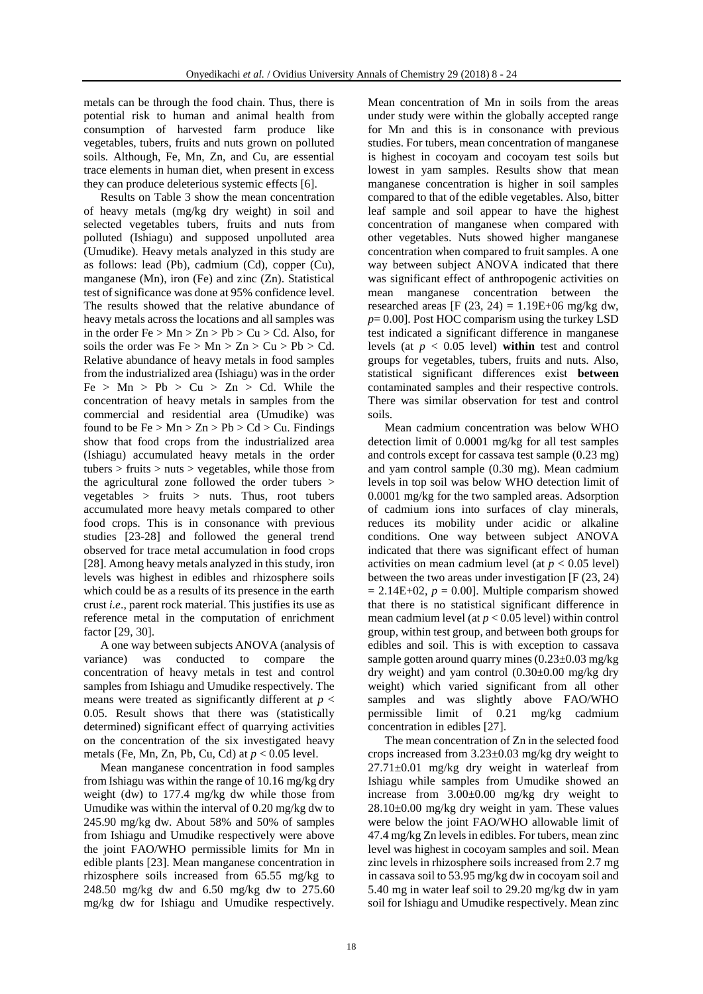metals can be through the food chain. Thus, there is potential risk to human and animal health from consumption of harvested farm produce like vegetables, tubers, fruits and nuts grown on polluted soils. Although, Fe, Mn, Zn, and Cu, are essential trace elements in human diet, when present in excess they can produce deleterious systemic effects [6].

Results on Table 3 show the mean concentration of heavy metals (mg/kg dry weight) in soil and selected vegetables tubers, fruits and nuts from polluted (Ishiagu) and supposed unpolluted area (Umudike). Heavy metals analyzed in this study are as follows: lead (Pb), cadmium (Cd), copper (Cu), manganese (Mn), iron (Fe) and zinc (Zn). Statistical test of significance was done at 95% confidence level. The results showed that the relative abundance of heavy metals across the locations and all samples was in the order  $Fe > Mn > Zn > Pb > Cu > Cd$ . Also, for soils the order was  $Fe > Mn > Zn > Cu > Pb > Cd$ . Relative abundance of heavy metals in food samples from the industrialized area (Ishiagu) was in the order  $Fe > Mn > Pb > Cu > Zn > Cd$ . While the concentration of heavy metals in samples from the commercial and residential area (Umudike) was found to be  $Fe > Mn > Zn > Pb > Cd > Cu$ . Findings show that food crops from the industrialized area (Ishiagu) accumulated heavy metals in the order tubers  $>$  fruits  $>$  nuts  $>$  vegetables, while those from the agricultural zone followed the order tubers > vegetables > fruits > nuts. Thus, root tubers accumulated more heavy metals compared to other food crops. This is in consonance with previous studies [23-28] and followed the general trend observed for trace metal accumulation in food crops [28]. Among heavy metals analyzed in this study, iron levels was highest in edibles and rhizosphere soils which could be as a results of its presence in the earth crust *i.e*., parent rock material. This justifies its use as reference metal in the computation of enrichment factor [29, 30].

A one way between subjects ANOVA (analysis of variance) was conducted to compare the concentration of heavy metals in test and control samples from Ishiagu and Umudike respectively. The means were treated as significantly different at  $p <$ 0.05. Result shows that there was (statistically determined) significant effect of quarrying activities on the concentration of the six investigated heavy metals (Fe, Mn, Zn, Pb, Cu, Cd) at *p* < 0.05 level.

Mean manganese concentration in food samples from Ishiagu was within the range of 10.16 mg/kg dry weight (dw) to 177.4 mg/kg dw while those from Umudike was within the interval of 0.20 mg/kg dw to 245.90 mg/kg dw. About 58% and 50% of samples from Ishiagu and Umudike respectively were above the joint FAO/WHO permissible limits for Mn in edible plants [23]. Mean manganese concentration in rhizosphere soils increased from 65.55 mg/kg to 248.50 mg/kg dw and 6.50 mg/kg dw to 275.60 mg/kg dw for Ishiagu and Umudike respectively.

Mean concentration of Mn in soils from the areas under study were within the globally accepted range for Mn and this is in consonance with previous studies. For tubers, mean concentration of manganese is highest in cocoyam and cocoyam test soils but lowest in yam samples. Results show that mean manganese concentration is higher in soil samples compared to that of the edible vegetables. Also, bitter leaf sample and soil appear to have the highest concentration of manganese when compared with other vegetables. Nuts showed higher manganese concentration when compared to fruit samples. A one way between subject ANOVA indicated that there was significant effect of anthropogenic activities on mean manganese concentration between the researched areas  $[F (23, 24) = 1.19E+06$  mg/kg dw, *p*= 0.00]. Post HOC comparism using the turkey LSD test indicated a significant difference in manganese levels (at *p* < 0.05 level) **within** test and control groups for vegetables, tubers, fruits and nuts. Also, statistical significant differences exist **between** contaminated samples and their respective controls. There was similar observation for test and control soils.

Mean cadmium concentration was below WHO detection limit of 0.0001 mg/kg for all test samples and controls except for cassava test sample (0.23 mg) and yam control sample (0.30 mg). Mean cadmium levels in top soil was below WHO detection limit of 0.0001 mg/kg for the two sampled areas. Adsorption of cadmium ions into surfaces of clay minerals, reduces its mobility under acidic or alkaline conditions. One way between subject ANOVA indicated that there was significant effect of human activities on mean cadmium level (at  $p < 0.05$  level) between the two areas under investigation [F (23, 24)  $= 2.14E+02$ ,  $p = 0.00$ . Multiple comparism showed that there is no statistical significant difference in mean cadmium level (at *p* < 0.05 level) within control group, within test group, and between both groups for edibles and soil. This is with exception to cassava sample gotten around quarry mines  $(0.23 \pm 0.03 \text{ mg/kg})$ dry weight) and yam control (0.30±0.00 mg/kg dry weight) which varied significant from all other samples and was slightly above FAO/WHO permissible limit of 0.21 mg/kg cadmium concentration in edibles [27].

The mean concentration of Zn in the selected food crops increased from 3.23±0.03 mg/kg dry weight to 27.71±0.01 mg/kg dry weight in waterleaf from Ishiagu while samples from Umudike showed an increase from 3.00±0.00 mg/kg dry weight to  $28.10\pm0.00$  mg/kg dry weight in yam. These values were below the joint FAO/WHO allowable limit of 47.4 mg/kg Zn levels in edibles. For tubers, mean zinc level was highest in cocoyam samples and soil. Mean zinc levels in rhizosphere soils increased from 2.7 mg in cassava soil to 53.95 mg/kg dw in cocoyam soil and 5.40 mg in water leaf soil to 29.20 mg/kg dw in yam soil for Ishiagu and Umudike respectively. Mean zinc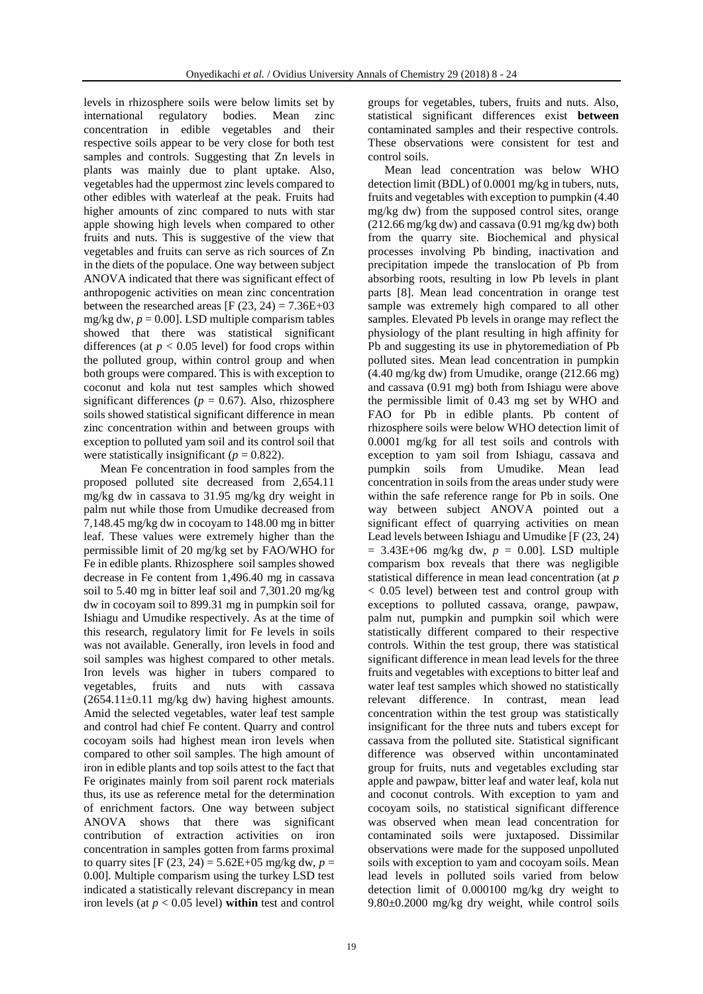levels in rhizosphere soils were below limits set by international regulatory bodies. Mean zinc concentration in edible vegetables and their respective soils appear to be very close for both test samples and controls. Suggesting that Zn levels in plants was mainly due to plant uptake. Also, vegetables had the uppermost zinc levels compared to other edibles with waterleaf at the peak. Fruits had higher amounts of zinc compared to nuts with star apple showing high levels when compared to other fruits and nuts. This is suggestive of the view that vegetables and fruits can serve as rich sources of Zn in the diets of the populace. One way between subject ANOVA indicated that there was significant effect of anthropogenic activities on mean zinc concentration between the researched areas  $[F (23, 24) = 7.36E+03]$ mg/kg dw,  $p = 0.00$ ]. LSD multiple comparism tables showed that there was statistical significant differences (at  $p < 0.05$  level) for food crops within the polluted group, within control group and when both groups were compared. This is with exception to coconut and kola nut test samples which showed significant differences ( $p = 0.67$ ). Also, rhizosphere soils showed statistical significant difference in mean zinc concentration within and between groups with exception to polluted yam soil and its control soil that were statistically insignificant  $(p = 0.822)$ .

Mean Fe concentration in food samples from the proposed polluted site decreased from 2,654.11 mg/kg dw in cassava to 31.95 mg/kg dry weight in palm nut while those from Umudike decreased from 7,148.45 mg/kg dw in cocoyam to 148.00 mg in bitter leaf. These values were extremely higher than the permissible limit of 20 mg/kg set by FAO/WHO for Fe in edible plants. Rhizosphere soil samples showed decrease in Fe content from 1,496.40 mg in cassava soil to 5.40 mg in bitter leaf soil and 7,301.20 mg/kg dw in cocoyam soil to 899.31 mg in pumpkin soil for Ishiagu and Umudike respectively. As at the time of this research, regulatory limit for Fe levels in soils was not available. Generally, iron levels in food and soil samples was highest compared to other metals. Iron levels was higher in tubers compared to vegetables, fruits and nuts with cassava  $(2654.11\pm0.11 \text{ mg/kg} \text{dw})$  having highest amounts. Amid the selected vegetables, water leaf test sample and control had chief Fe content. Quarry and control cocoyam soils had highest mean iron levels when compared to other soil samples. The high amount of iron in edible plants and top soils attest to the fact that Fe originates mainly from soil parent rock materials thus, its use as reference metal for the determination of enrichment factors. One way between subject ANOVA shows that there was significant contribution of extraction activities on iron concentration in samples gotten from farms proximal to quarry sites [F (23, 24) =  $5.62E+05$  mg/kg dw,  $p =$ 0.00]. Multiple comparism using the turkey LSD test indicated a statistically relevant discrepancy in mean iron levels (at *p* < 0.05 level) **within** test and control groups for vegetables, tubers, fruits and nuts. Also, statistical significant differences exist **between** contaminated samples and their respective controls. These observations were consistent for test and control soils.

Mean lead concentration was below WHO detection limit (BDL) of 0.0001 mg/kg in tubers, nuts, fruits and vegetables with exception to pumpkin (4.40 mg/kg dw) from the supposed control sites, orange (212.66 mg/kg dw) and cassava (0.91 mg/kg dw) both from the quarry site. Biochemical and physical processes involving Pb binding, inactivation and precipitation impede the translocation of Pb from absorbing roots, resulting in low Pb levels in plant parts [8]. Mean lead concentration in orange test sample was extremely high compared to all other samples. Elevated Pb levels in orange may reflect the physiology of the plant resulting in high affinity for Pb and suggesting its use in phytoremediation of Pb polluted sites. Mean lead concentration in pumpkin (4.40 mg/kg dw) from Umudike, orange (212.66 mg) and cassava (0.91 mg) both from Ishiagu were above the permissible limit of 0.43 mg set by WHO and FAO for Pb in edible plants. Pb content of rhizosphere soils were below WHO detection limit of 0.0001 mg/kg for all test soils and controls with exception to yam soil from Ishiagu, cassava and pumpkin soils from Umudike. Mean lead concentration in soils from the areas under study were within the safe reference range for Pb in soils. One way between subject ANOVA pointed out a significant effect of quarrying activities on mean Lead levels between Ishiagu and Umudike [F (23, 24)  $= 3.43E+06$  mg/kg dw,  $p = 0.00$ . LSD multiple comparism box reveals that there was negligible statistical difference in mean lead concentration (at *p* < 0.05 level) between test and control group with exceptions to polluted cassava, orange, pawpaw, palm nut, pumpkin and pumpkin soil which were statistically different compared to their respective controls. Within the test group, there was statistical significant difference in mean lead levels for the three fruits and vegetables with exceptions to bitter leaf and water leaf test samples which showed no statistically relevant difference. In contrast, mean lead concentration within the test group was statistically insignificant for the three nuts and tubers except for cassava from the polluted site. Statistical significant difference was observed within uncontaminated group for fruits, nuts and vegetables excluding star apple and pawpaw, bitter leaf and water leaf, kola nut and coconut controls. With exception to yam and cocoyam soils, no statistical significant difference was observed when mean lead concentration for contaminated soils were juxtaposed. Dissimilar observations were made for the supposed unpolluted soils with exception to yam and cocoyam soils. Mean lead levels in polluted soils varied from below detection limit of 0.000100 mg/kg dry weight to 9.80±0.2000 mg/kg dry weight, while control soils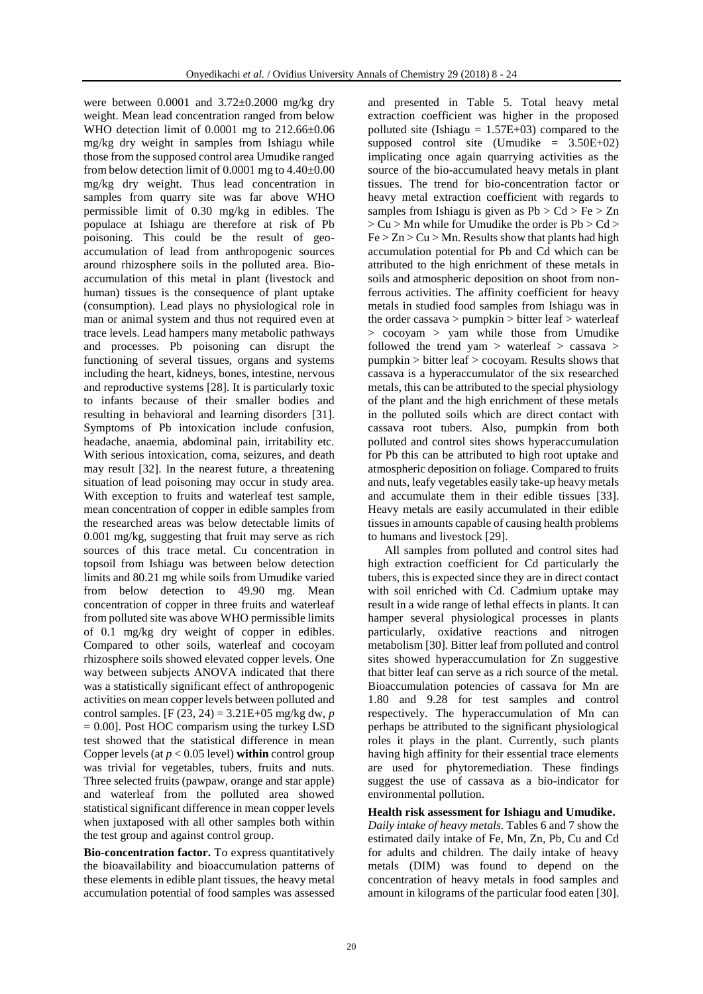were between  $0.0001$  and  $3.72\pm0.2000$  mg/kg dry weight. Mean lead concentration ranged from below WHO detection limit of 0.0001 mg to 212.66±0.06 mg/kg dry weight in samples from Ishiagu while those from the supposed control area Umudike ranged from below detection limit of  $0.0001$  mg to  $4.40\pm0.00$ mg/kg dry weight. Thus lead concentration in samples from quarry site was far above WHO permissible limit of 0.30 mg/kg in edibles. The populace at Ishiagu are therefore at risk of Pb poisoning. This could be the result of geoaccumulation of lead from anthropogenic sources around rhizosphere soils in the polluted area. Bioaccumulation of this metal in plant (livestock and human) tissues is the consequence of plant uptake (consumption). Lead plays no physiological role in man or animal system and thus not required even at trace levels. Lead hampers many metabolic pathways and processes. Pb poisoning can disrupt the functioning of several tissues, organs and systems including the heart, kidneys, bones, intestine, nervous and reproductive systems [28]. It is particularly toxic to infants because of their smaller bodies and resulting in behavioral and learning disorders [31]. Symptoms of Pb intoxication include confusion, headache, anaemia, abdominal pain, irritability etc. With serious intoxication, coma, seizures, and death may result [32]. In the nearest future, a threatening situation of lead poisoning may occur in study area. With exception to fruits and waterleaf test sample, mean concentration of copper in edible samples from the researched areas was below detectable limits of 0.001 mg/kg, suggesting that fruit may serve as rich sources of this trace metal. Cu concentration in topsoil from Ishiagu was between below detection limits and 80.21 mg while soils from Umudike varied from below detection to 49.90 mg. Mean concentration of copper in three fruits and waterleaf from polluted site was above WHO permissible limits of 0.1 mg/kg dry weight of copper in edibles. Compared to other soils, waterleaf and cocoyam rhizosphere soils showed elevated copper levels. One way between subjects ANOVA indicated that there was a statistically significant effect of anthropogenic activities on mean copper levels between polluted and control samples. [F (23, 24) = 3.21E+05 mg/kg dw, *p*  $= 0.00$ ]. Post HOC comparism using the turkey LSD test showed that the statistical difference in mean Copper levels (at *p* < 0.05 level) **within** control group was trivial for vegetables, tubers, fruits and nuts. Three selected fruits (pawpaw, orange and star apple) and waterleaf from the polluted area showed statistical significant difference in mean copper levels when juxtaposed with all other samples both within the test group and against control group.

**Bio-concentration factor.** To express quantitatively the bioavailability and bioaccumulation patterns of these elements in edible plant tissues, the heavy metal accumulation potential of food samples was assessed and presented in Table 5. Total heavy metal extraction coefficient was higher in the proposed polluted site (Ishiagu  $= 1.57E+03$ ) compared to the supposed control site (Umudike  $= 3.50E+02$ ) implicating once again quarrying activities as the source of the bio-accumulated heavy metals in plant tissues. The trend for bio-concentration factor or heavy metal extraction coefficient with regards to samples from Ishiagu is given as  $Pb > Cd > Fe > Zn$  $> Cu > Mn$  while for Umudike the order is  $Pb > Cd >$  $Fe > Zn > Cu > Mn$ . Results show that plants had high accumulation potential for Pb and Cd which can be attributed to the high enrichment of these metals in soils and atmospheric deposition on shoot from nonferrous activities. The affinity coefficient for heavy metals in studied food samples from Ishiagu was in the order cassava > pumpkin > bitter leaf > waterleaf > cocoyam > yam while those from Umudike followed the trend yam  $>$  waterleaf  $>$  cassava  $>$ pumpkin > bitter leaf > cocoyam. Results shows that cassava is a hyperaccumulator of the six researched metals, this can be attributed to the special physiology of the plant and the high enrichment of these metals in the polluted soils which are direct contact with cassava root tubers. Also, pumpkin from both polluted and control sites shows hyperaccumulation for Pb this can be attributed to high root uptake and atmospheric deposition on foliage. Compared to fruits and nuts, leafy vegetables easily take-up heavy metals and accumulate them in their edible tissues [33]. Heavy metals are easily accumulated in their edible tissues in amounts capable of causing health problems to humans and livestock [29].

All samples from polluted and control sites had high extraction coefficient for Cd particularly the tubers, this is expected since they are in direct contact with soil enriched with Cd. Cadmium uptake may result in a wide range of lethal effects in plants. It can hamper several physiological processes in plants particularly, oxidative reactions and nitrogen metabolism [30]. Bitter leaf from polluted and control sites showed hyperaccumulation for Zn suggestive that bitter leaf can serve as a rich source of the metal. Bioaccumulation potencies of cassava for Mn are 1.80 and 9.28 for test samples and control respectively. The hyperaccumulation of Mn can perhaps be attributed to the significant physiological roles it plays in the plant. Currently, such plants having high affinity for their essential trace elements are used for phytoremediation. These findings suggest the use of cassava as a bio-indicator for environmental pollution.

## **Health risk assessment for Ishiagu and Umudike.**

*Daily intake of heavy metals.* Tables 6 and 7 show the estimated daily intake of Fe, Mn, Zn, Pb, Cu and Cd for adults and children. The daily intake of heavy metals (DIM) was found to depend on the concentration of heavy metals in food samples and amount in kilograms of the particular food eaten [30].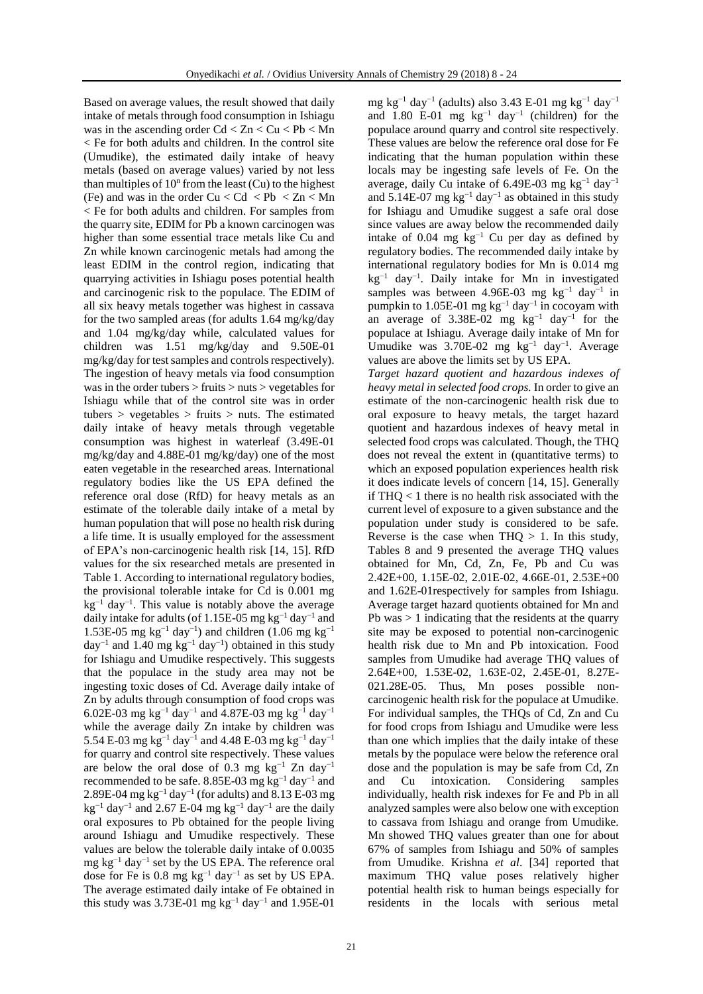Based on average values, the result showed that daily intake of metals through food consumption in Ishiagu was in the ascending order  $Cd < Zn < Cu < Pb < Mn$ < Fe for both adults and children. In the control site (Umudike), the estimated daily intake of heavy metals (based on average values) varied by not less than multiples of  $10^n$  from the least  $(Cu)$  to the highest (Fe) and was in the order  $Cu < Cd < Pb < Zn < Mn$ < Fe for both adults and children. For samples from the quarry site, EDIM for Pb a known carcinogen was higher than some essential trace metals like Cu and Zn while known carcinogenic metals had among the least EDIM in the control region, indicating that quarrying activities in Ishiagu poses potential health and carcinogenic risk to the populace. The EDIM of all six heavy metals together was highest in cassava for the two sampled areas (for adults 1.64 mg/kg/day and 1.04 mg/kg/day while, calculated values for children was 1.51 mg/kg/day and 9.50E-01 mg/kg/day for test samples and controls respectively). The ingestion of heavy metals via food consumption was in the order tubers > fruits > nuts > vegetables for Ishiagu while that of the control site was in order tubers  $>$  vegetables  $>$  fruits  $>$  nuts. The estimated daily intake of heavy metals through vegetable consumption was highest in waterleaf (3.49E-01 mg/kg/day and 4.88E-01 mg/kg/day) one of the most eaten vegetable in the researched areas. International regulatory bodies like the US EPA defined the reference oral dose (RfD) for heavy metals as an estimate of the tolerable daily intake of a metal by human population that will pose no health risk during a life time. It is usually employed for the assessment of EPA's non-carcinogenic health risk [14, 15]. RfD values for the six researched metals are presented in Table 1. According to international regulatory bodies, the provisional tolerable intake for Cd is 0.001 mg kg−1 day−1 . This value is notably above the average daily intake for adults (of 1.15E-05 mg kg<sup>-1</sup> day<sup>-1</sup> and 1.53E-05 mg kg<sup>-1</sup> day<sup>-1</sup>) and children (1.06 mg kg<sup>-1</sup>)  $day^{-1}$  and 1.40 mg kg<sup>-1</sup> day<sup>-1</sup>) obtained in this study for Ishiagu and Umudike respectively. This suggests that the populace in the study area may not be ingesting toxic doses of Cd. Average daily intake of Zn by adults through consumption of food crops was 6.02E-03 mg kg<sup>-1</sup> day<sup>-1</sup> and 4.87E-03 mg kg<sup>-1</sup> day<sup>-1</sup> while the average daily Zn intake by children was 5.54 E-03 mg kg<sup>−1</sup> day<sup>−1</sup> and 4.48 E-03 mg kg<sup>−1</sup> day<sup>−1</sup> for quarry and control site respectively. These values are below the oral dose of 0.3 mg kg<sup>-1</sup> Zn day<sup>-1</sup> recommended to be safe. 8.85E-03 mg  $kg^{-1}$  day<sup>-1</sup> and 2.89E-04 mg kg<sup>-1</sup> day<sup>-1</sup> (for adults) and 8.13 E-03 mg  $kg^{-1}$  day<sup>-1</sup> and 2.67 E-04 mg kg<sup>-1</sup> day<sup>-1</sup> are the daily oral exposures to Pb obtained for the people living around Ishiagu and Umudike respectively. These values are below the tolerable daily intake of 0.0035 mg kg<sup>-1</sup> day<sup>-1</sup> set by the US EPA. The reference oral dose for Fe is 0.8 mg kg<sup>-1</sup> day<sup>-1</sup> as set by US EPA. The average estimated daily intake of Fe obtained in this study was 3.73E-01 mg kg<sup>-1</sup> day<sup>-1</sup> and 1.95E-01

mg kg<sup>-1</sup> day<sup>-1</sup> (adults) also 3.43 E-01 mg kg<sup>-1</sup> day<sup>-1</sup> and 1.80 E-01 mg  $kg^{-1}$  day<sup>-1</sup> (children) for the populace around quarry and control site respectively. These values are below the reference oral dose for Fe indicating that the human population within these locals may be ingesting safe levels of Fe. On the average, daily Cu intake of 6.49E-03 mg kg<sup>-1</sup> day<sup>-1</sup> and 5.14E-07 mg  $kg^{-1}$  day<sup>-1</sup> as obtained in this study for Ishiagu and Umudike suggest a safe oral dose since values are away below the recommended daily intake of  $0.04 \text{ mg} \text{ kg}^{-1}$  Cu per day as defined by regulatory bodies. The recommended daily intake by international regulatory bodies for Mn is 0.014 mg kg−1 day−1 . Daily intake for Mn in investigated samples was between 4.96E-03 mg  $kg^{-1}$  day<sup>-1</sup> in pumpkin to 1.05E-01 mg  $kg^{-1}$  day<sup>-1</sup> in cocoyam with an average of  $3.38E-02$  mg kg<sup>-1</sup> day<sup>-1</sup> for the populace at Ishiagu. Average daily intake of Mn for Umudike was 3.70E-02 mg kg−1 day−1 . Average values are above the limits set by US EPA.

*Target hazard quotient and hazardous indexes of heavy metal in selected food crops.* In order to give an estimate of the non-carcinogenic health risk due to oral exposure to heavy metals, the target hazard quotient and hazardous indexes of heavy metal in selected food crops was calculated. Though, the THQ does not reveal the extent in (quantitative terms) to which an exposed population experiences health risk it does indicate levels of concern [14, 15]. Generally if THQ < 1 there is no health risk associated with the current level of exposure to a given substance and the population under study is considered to be safe. Reverse is the case when  $THQ > 1$ . In this study, Tables 8 and 9 presented the average THQ values obtained for Mn, Cd, Zn, Fe, Pb and Cu was 2.42E+00, 1.15E-02, 2.01E-02, 4.66E-01, 2.53E+00 and 1.62E-01respectively for samples from Ishiagu. Average target hazard quotients obtained for Mn and Pb was  $> 1$  indicating that the residents at the quarry site may be exposed to potential non-carcinogenic health risk due to Mn and Pb intoxication. Food samples from Umudike had average THQ values of 2.64E+00, 1.53E-02, 1.63E-02, 2.45E-01, 8.27E-021.28E-05. Thus, Mn poses possible noncarcinogenic health risk for the populace at Umudike. For individual samples, the THQs of Cd, Zn and Cu for food crops from Ishiagu and Umudike were less than one which implies that the daily intake of these metals by the populace were below the reference oral dose and the population is may be safe from Cd, Zn and Cu intoxication. Considering samples individually, health risk indexes for Fe and Pb in all analyzed samples were also below one with exception to cassava from Ishiagu and orange from Umudike. Mn showed THQ values greater than one for about 67% of samples from Ishiagu and 50% of samples from Umudike. Krishna *et al*. [34] reported that maximum THQ value poses relatively higher potential health risk to human beings especially for residents in the locals with serious metal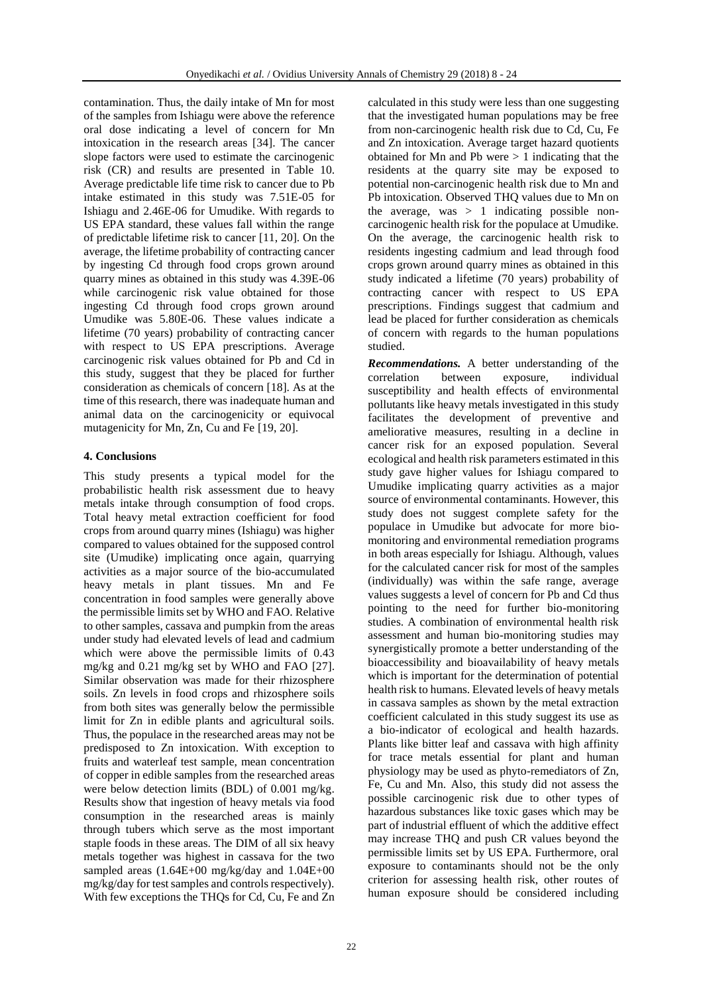contamination. Thus, the daily intake of Mn for most of the samples from Ishiagu were above the reference oral dose indicating a level of concern for Mn intoxication in the research areas [34]. The cancer slope factors were used to estimate the carcinogenic risk (CR) and results are presented in Table 10. Average predictable life time risk to cancer due to Pb intake estimated in this study was 7.51E-05 for Ishiagu and 2.46E-06 for Umudike. With regards to US EPA standard, these values fall within the range of predictable lifetime risk to cancer [11, 20]. On the average, the lifetime probability of contracting cancer by ingesting Cd through food crops grown around quarry mines as obtained in this study was 4.39E-06 while carcinogenic risk value obtained for those ingesting Cd through food crops grown around Umudike was 5.80E-06. These values indicate a lifetime (70 years) probability of contracting cancer with respect to US EPA prescriptions. Average carcinogenic risk values obtained for Pb and Cd in this study, suggest that they be placed for further consideration as chemicals of concern [18]. As at the time of this research, there was inadequate human and animal data on the carcinogenicity or equivocal mutagenicity for Mn, Zn, Cu and Fe [19, 20].

## **4. Conclusions**

This study presents a typical model for the probabilistic health risk assessment due to heavy metals intake through consumption of food crops. Total heavy metal extraction coefficient for food crops from around quarry mines (Ishiagu) was higher compared to values obtained for the supposed control site (Umudike) implicating once again, quarrying activities as a major source of the bio-accumulated heavy metals in plant tissues. Mn and Fe concentration in food samples were generally above the permissible limits set by WHO and FAO. Relative to other samples, cassava and pumpkin from the areas under study had elevated levels of lead and cadmium which were above the permissible limits of 0.43 mg/kg and 0.21 mg/kg set by WHO and FAO [27]. Similar observation was made for their rhizosphere soils. Zn levels in food crops and rhizosphere soils from both sites was generally below the permissible limit for Zn in edible plants and agricultural soils. Thus, the populace in the researched areas may not be predisposed to Zn intoxication. With exception to fruits and waterleaf test sample, mean concentration of copper in edible samples from the researched areas were below detection limits (BDL) of 0.001 mg/kg. Results show that ingestion of heavy metals via food consumption in the researched areas is mainly through tubers which serve as the most important staple foods in these areas. The DIM of all six heavy metals together was highest in cassava for the two sampled areas (1.64E+00 mg/kg/day and 1.04E+00 mg/kg/day for test samples and controls respectively). With few exceptions the THQs for Cd, Cu, Fe and Zn calculated in this study were less than one suggesting that the investigated human populations may be free from non-carcinogenic health risk due to Cd, Cu, Fe and Zn intoxication. Average target hazard quotients obtained for Mn and Pb were > 1 indicating that the residents at the quarry site may be exposed to potential non-carcinogenic health risk due to Mn and Pb intoxication. Observed THQ values due to Mn on the average, was  $> 1$  indicating possible noncarcinogenic health risk for the populace at Umudike. On the average, the carcinogenic health risk to residents ingesting cadmium and lead through food crops grown around quarry mines as obtained in this study indicated a lifetime (70 years) probability of contracting cancer with respect to US EPA prescriptions. Findings suggest that cadmium and lead be placed for further consideration as chemicals of concern with regards to the human populations studied.

*Recommendations.* A better understanding of the correlation between exposure, individual susceptibility and health effects of environmental pollutants like heavy metals investigated in this study facilitates the development of preventive and ameliorative measures, resulting in a decline in cancer risk for an exposed population. Several ecological and health risk parameters estimated in this study gave higher values for Ishiagu compared to Umudike implicating quarry activities as a major source of environmental contaminants. However, this study does not suggest complete safety for the populace in Umudike but advocate for more biomonitoring and environmental remediation programs in both areas especially for Ishiagu. Although, values for the calculated cancer risk for most of the samples (individually) was within the safe range, average values suggests a level of concern for Pb and Cd thus pointing to the need for further bio-monitoring studies. A combination of environmental health risk assessment and human bio-monitoring studies may synergistically promote a better understanding of the bioaccessibility and bioavailability of heavy metals which is important for the determination of potential health risk to humans. Elevated levels of heavy metals in cassava samples as shown by the metal extraction coefficient calculated in this study suggest its use as a bio-indicator of ecological and health hazards. Plants like bitter leaf and cassava with high affinity for trace metals essential for plant and human physiology may be used as phyto-remediators of Zn, Fe, Cu and Mn. Also, this study did not assess the possible carcinogenic risk due to other types of hazardous substances like toxic gases which may be part of industrial effluent of which the additive effect may increase THQ and push CR values beyond the permissible limits set by US EPA. Furthermore, oral exposure to contaminants should not be the only criterion for assessing health risk, other routes of human exposure should be considered including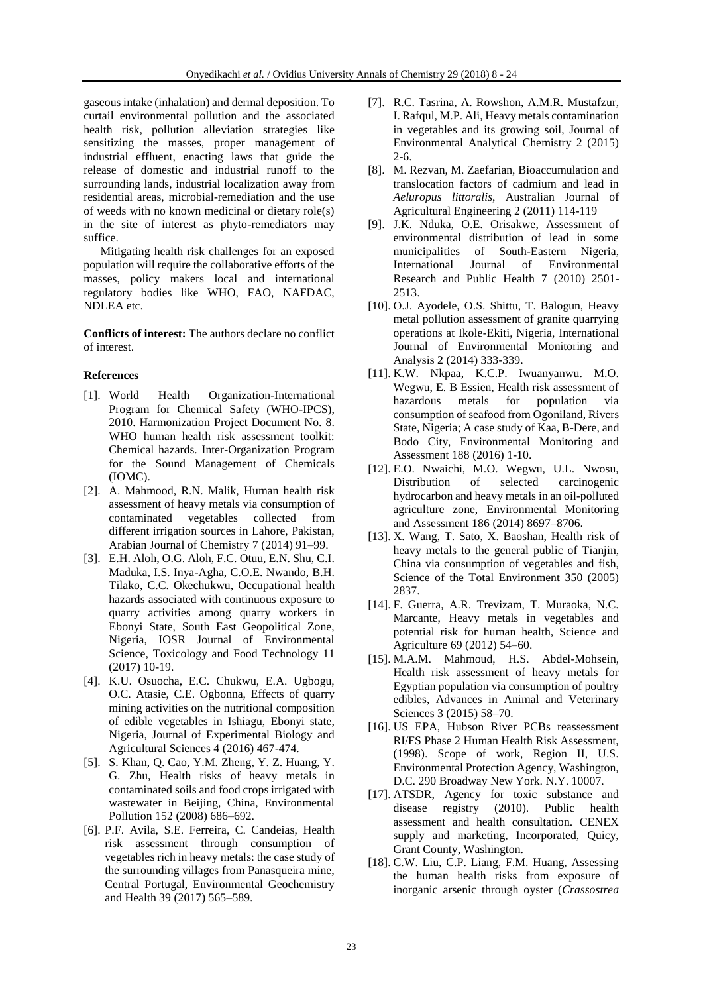gaseous intake (inhalation) and dermal deposition. To curtail environmental pollution and the associated health risk, pollution alleviation strategies like sensitizing the masses, proper management of industrial effluent, enacting laws that guide the release of domestic and industrial runoff to the surrounding lands, industrial localization away from residential areas, microbial-remediation and the use of weeds with no known medicinal or dietary role(s) in the site of interest as phyto-remediators may suffice.

Mitigating health risk challenges for an exposed population will require the collaborative efforts of the masses, policy makers local and international regulatory bodies like WHO, FAO, NAFDAC, NDLEA etc.

**Conflicts of interest:** The authors declare no conflict of interest.

#### **References**

- [1]. World Health Organization-International Program for Chemical Safety (WHO-IPCS), 2010. Harmonization Project Document No. 8. WHO human health risk assessment toolkit: Chemical hazards. Inter-Organization Program for the Sound Management of Chemicals (IOMC).
- [2]. A. Mahmood, R.N. Malik, Human health risk assessment of heavy metals via consumption of contaminated vegetables collected from different irrigation sources in Lahore, Pakistan, Arabian Journal of Chemistry 7 (2014) 91–99.
- [3]. E.H. Aloh, O.G. Aloh, F.C. Otuu, E.N. Shu, C.I. Maduka, I.S. Inya-Agha, C.O.E. Nwando, B.H. Tilako, C.C. Okechukwu, Occupational health hazards associated with continuous exposure to quarry activities among quarry workers in Ebonyi State, South East Geopolitical Zone, Nigeria, IOSR Journal of Environmental Science, Toxicology and Food Technology 11 (2017) 10-19.
- [4]. K.U. Osuocha, E.C. Chukwu, E.A. Ugbogu, O.C. Atasie, C.E. Ogbonna, Effects of quarry mining activities on the nutritional composition of edible vegetables in Ishiagu, Ebonyi state, Nigeria, Journal of Experimental Biology and Agricultural Sciences 4 (2016) 467-474.
- [5]. S. Khan, Q. Cao, Y.M. Zheng, Y. Z. Huang, Y. G. Zhu, Health risks of heavy metals in contaminated soils and food crops irrigated with wastewater in Beijing, China, Environmental Pollution 152 (2008) 686–692.
- [6]. P.F. Avila, S.E. Ferreira, C. Candeias, Health risk assessment through consumption of vegetables rich in heavy metals: the case study of the surrounding villages from Panasqueira mine, Central Portugal, Environmental Geochemistry and Health 39 (2017) 565–589.
- [7]. R.C. Tasrina, A. Rowshon, A.M.R. Mustafzur, I. Rafqul, M.P. Ali, Heavy metals contamination in vegetables and its growing soil, Journal of Environmental Analytical Chemistry 2 (2015) 2-6.
- [8]. M. Rezvan, M. Zaefarian, Bioaccumulation and translocation factors of cadmium and lead in *Aeluropus littoralis*, Australian Journal of Agricultural Engineering 2 (2011) 114-119
- [9]. J.K. Nduka, O.E. Orisakwe, Assessment of environmental distribution of lead in some municipalities of South-Eastern Nigeria, International Journal of Environmental Research and Public Health 7 (2010) 2501- 2513.
- [10]. O.J. Ayodele, O.S. Shittu, T. Balogun, Heavy metal pollution assessment of granite quarrying operations at Ikole-Ekiti, Nigeria, International Journal of Environmental Monitoring and Analysis 2 (2014) 333-339.
- [11]. K.W. Nkpaa, K.C.P. Iwuanyanwu. M.O. Wegwu, E. B Essien, Health risk assessment of hazardous metals for population via consumption of seafood from Ogoniland, Rivers State, Nigeria; A case study of Kaa, B-Dere, and Bodo City, Environmental Monitoring and Assessment 188 (2016) 1-10.
- [12]. E.O. Nwaichi, M.O. Wegwu, U.L. Nwosu, Distribution of selected carcinogenic hydrocarbon and heavy metals in an oil-polluted agriculture zone, Environmental Monitoring and Assessment 186 (2014) 8697–8706.
- [13]. X. Wang, T. Sato, X. Baoshan, Health risk of heavy metals to the general public of Tianjin, China via consumption of vegetables and fish, Science of the Total Environment 350 (2005) 2837.
- [14]. F. Guerra, A.R. Trevizam, T. Muraoka, N.C. Marcante, Heavy metals in vegetables and potential risk for human health, Science and Agriculture 69 (2012) 54–60.
- [15]. M.A.M. Mahmoud, H.S. Abdel-Mohsein, Health risk assessment of heavy metals for Egyptian population via consumption of poultry edibles, Advances in Animal and Veterinary Sciences 3 (2015) 58–70.
- [16]. US EPA, Hubson River PCBs reassessment RI/FS Phase 2 Human Health Risk Assessment, (1998). Scope of work, Region II, U.S. Environmental Protection Agency, Washington, D.C. 290 Broadway New York. N.Y. 10007.
- [17]. ATSDR, Agency for toxic substance and disease registry (2010). Public health assessment and health consultation. CENEX supply and marketing, Incorporated, Quicy, Grant County, Washington.
- [18]. C.W. Liu, C.P. Liang, F.M. Huang, Assessing the human health risks from exposure of inorganic arsenic through oyster (*Crassostrea*